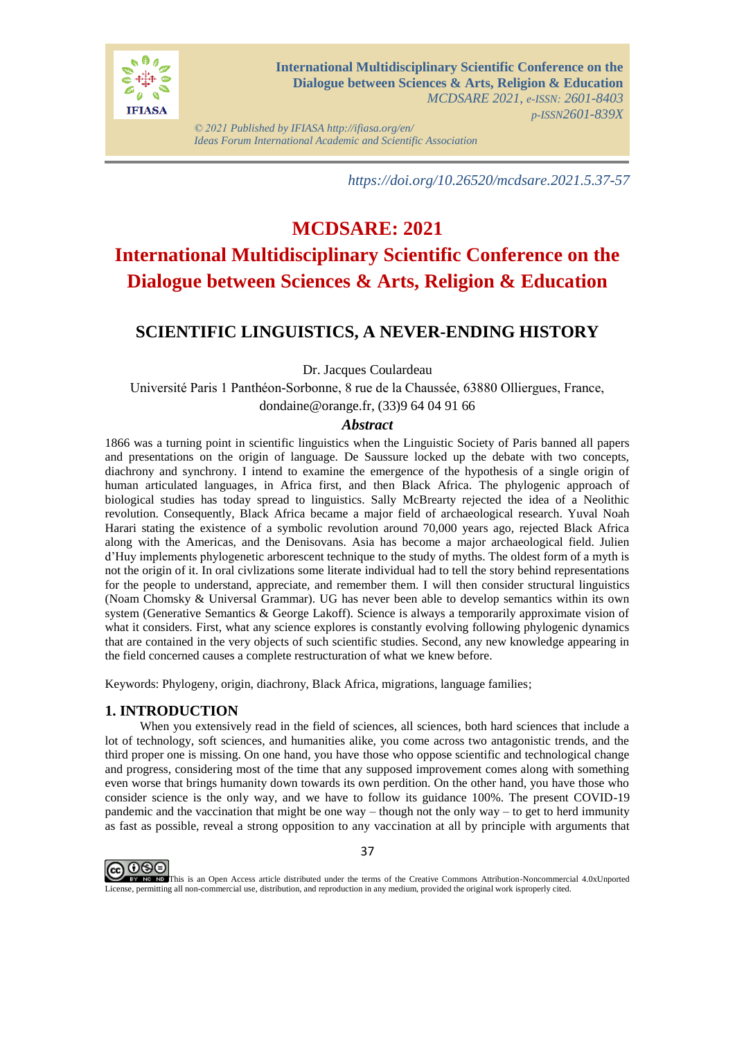

*© 2021 Published by IFIASA http://ifiasa.org/en/ Ideas Forum International Academic and Scientific Association*

*https://doi.org/10.26520/mcdsare.2021.5.37-57*

# **MCDSARE: 2021**

# **International Multidisciplinary Scientific Conference on the Dialogue between Sciences & Arts, Religion & Education**

# **SCIENTIFIC LINGUISTICS, A NEVER-ENDING HISTORY**

Dr. Jacques Coulardeau

Université Paris 1 Panthéon-Sorbonne, 8 rue de la Chaussée, 63880 Olliergues, France,

dondaine@orange.fr, (33)9 64 04 91 66

# *Abstract*

1866 was a turning point in scientific linguistics when the Linguistic Society of Paris banned all papers and presentations on the origin of language. De Saussure locked up the debate with two concepts, diachrony and synchrony. I intend to examine the emergence of the hypothesis of a single origin of human articulated languages, in Africa first, and then Black Africa. The phylogenic approach of biological studies has today spread to linguistics. Sally McBrearty rejected the idea of a Neolithic revolution. Consequently, Black Africa became a major field of archaeological research. Yuval Noah Harari stating the existence of a symbolic revolution around 70,000 years ago, rejected Black Africa along with the Americas, and the Denisovans. Asia has become a major archaeological field. Julien d'Huy implements phylogenetic arborescent technique to the study of myths. The oldest form of a myth is not the origin of it. In oral civlizations some literate individual had to tell the story behind representations for the people to understand, appreciate, and remember them. I will then consider structural linguistics (Noam Chomsky & Universal Grammar). UG has never been able to develop semantics within its own system (Generative Semantics & George Lakoff). Science is always a temporarily approximate vision of what it considers. First, what any science explores is constantly evolving following phylogenic dynamics that are contained in the very objects of such scientific studies. Second, any new knowledge appearing in the field concerned causes a complete restructuration of what we knew before.

Keywords: Phylogeny, origin, diachrony, Black Africa, migrations, language families;

# **1. INTRODUCTION**

When you extensively read in the field of sciences, all sciences, both hard sciences that include a lot of technology, soft sciences, and humanities alike, you come across two antagonistic trends, and the third proper one is missing. On one hand, you have those who oppose scientific and technological change and progress, considering most of the time that any supposed improvement comes along with something even worse that brings humanity down towards its own perdition. On the other hand, you have those who consider science is the only way, and we have to follow its guidance 100%. The present COVID-19 pandemic and the vaccination that might be one way – though not the only way – to get to herd immunity as fast as possible, reveal a strong opposition to any vaccination at all by principle with arguments that



**COOO** License, permitting all non-commercial use, distribution, and reproduction in any medium, provided the original work isproperly cited.

37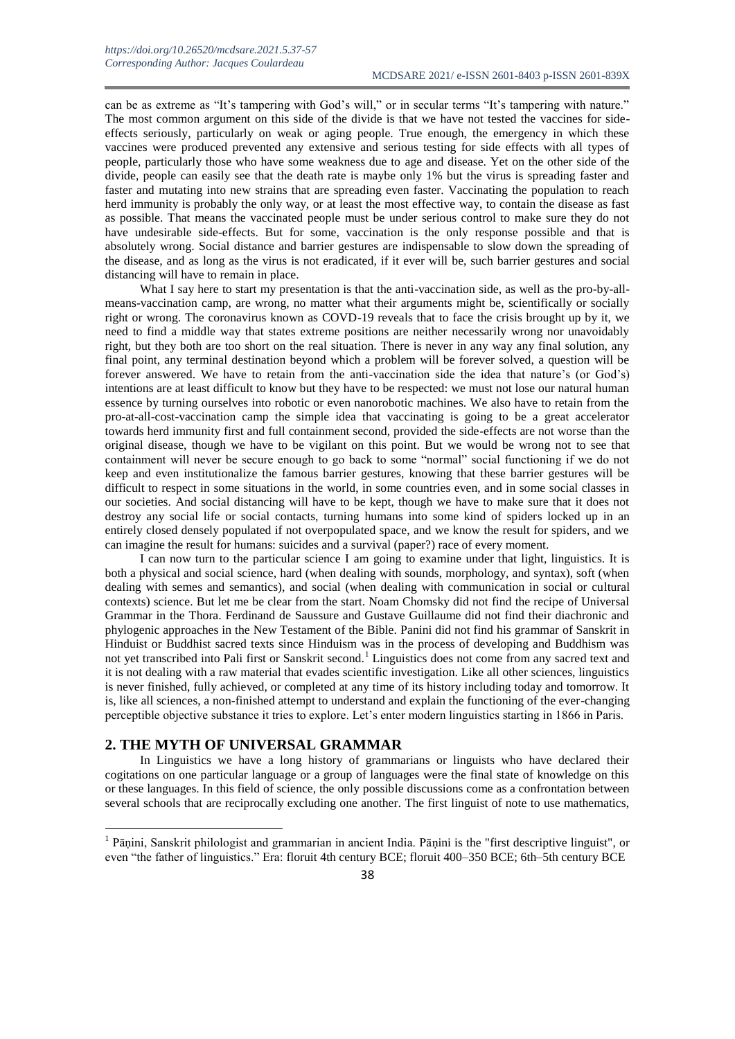can be as extreme as "It's tampering with God's will," or in secular terms "It's tampering with nature." The most common argument on this side of the divide is that we have not tested the vaccines for sideeffects seriously, particularly on weak or aging people. True enough, the emergency in which these vaccines were produced prevented any extensive and serious testing for side effects with all types of people, particularly those who have some weakness due to age and disease. Yet on the other side of the divide, people can easily see that the death rate is maybe only 1% but the virus is spreading faster and faster and mutating into new strains that are spreading even faster. Vaccinating the population to reach herd immunity is probably the only way, or at least the most effective way, to contain the disease as fast as possible. That means the vaccinated people must be under serious control to make sure they do not have undesirable side-effects. But for some, vaccination is the only response possible and that is absolutely wrong. Social distance and barrier gestures are indispensable to slow down the spreading of the disease, and as long as the virus is not eradicated, if it ever will be, such barrier gestures and social distancing will have to remain in place.

What I say here to start my presentation is that the anti-vaccination side, as well as the pro-by-allmeans-vaccination camp, are wrong, no matter what their arguments might be, scientifically or socially right or wrong. The coronavirus known as COVD-19 reveals that to face the crisis brought up by it, we need to find a middle way that states extreme positions are neither necessarily wrong nor unavoidably right, but they both are too short on the real situation. There is never in any way any final solution, any final point, any terminal destination beyond which a problem will be forever solved, a question will be forever answered. We have to retain from the anti-vaccination side the idea that nature's (or God's) intentions are at least difficult to know but they have to be respected: we must not lose our natural human essence by turning ourselves into robotic or even nanorobotic machines. We also have to retain from the pro-at-all-cost-vaccination camp the simple idea that vaccinating is going to be a great accelerator towards herd immunity first and full containment second, provided the side-effects are not worse than the original disease, though we have to be vigilant on this point. But we would be wrong not to see that containment will never be secure enough to go back to some "normal" social functioning if we do not keep and even institutionalize the famous barrier gestures, knowing that these barrier gestures will be difficult to respect in some situations in the world, in some countries even, and in some social classes in our societies. And social distancing will have to be kept, though we have to make sure that it does not destroy any social life or social contacts, turning humans into some kind of spiders locked up in an entirely closed densely populated if not overpopulated space, and we know the result for spiders, and we can imagine the result for humans: suicides and a survival (paper?) race of every moment.

I can now turn to the particular science I am going to examine under that light, linguistics. It is both a physical and social science, hard (when dealing with sounds, morphology, and syntax), soft (when dealing with semes and semantics), and social (when dealing with communication in social or cultural contexts) science. But let me be clear from the start. Noam Chomsky did not find the recipe of Universal Grammar in the Thora. Ferdinand de Saussure and Gustave Guillaume did not find their diachronic and phylogenic approaches in the New Testament of the Bible. Panini did not find his grammar of Sanskrit in Hinduist or Buddhist sacred texts since Hinduism was in the process of developing and Buddhism was not yet transcribed into Pali first or Sanskrit second.<sup>1</sup> Linguistics does not come from any sacred text and it is not dealing with a raw material that evades scientific investigation. Like all other sciences, linguistics is never finished, fully achieved, or completed at any time of its history including today and tomorrow. It is, like all sciences, a non-finished attempt to understand and explain the functioning of the ever-changing perceptible objective substance it tries to explore. Let's enter modern linguistics starting in 1866 in Paris.

#### **2. THE MYTH OF UNIVERSAL GRAMMAR**

**.** 

In Linguistics we have a long history of grammarians or linguists who have declared their cogitations on one particular language or a group of languages were the final state of knowledge on this or these languages. In this field of science, the only possible discussions come as a confrontation between several schools that are reciprocally excluding one another. The first linguist of note to use mathematics,

<sup>&</sup>lt;sup>1</sup> Pāņini, Sanskrit philologist and grammarian in ancient India. Pāņini is the "first descriptive linguist", or even "the father of linguistics." Era: floruit 4th century BCE; floruit 400–350 BCE; 6th–5th century BCE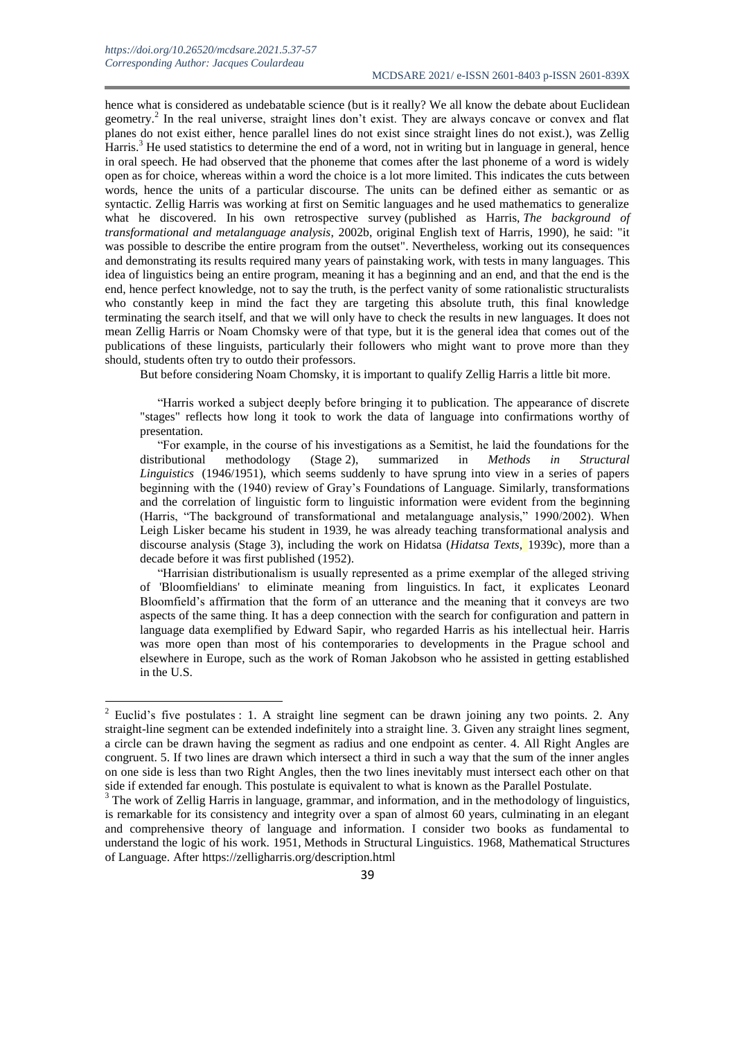hence what is considered as undebatable science (but is it really? We all know the debate about Euclidean geometry.<sup>2</sup> In the real universe, straight lines don't exist. They are always concave or convex and flat planes do not exist either, hence parallel lines do not exist since straight lines do not exist.), was Zellig Harris.<sup>3</sup> He used statistics to determine the end of a word, not in writing but in language in general, hence in oral speech. He had observed that the phoneme that comes after the last phoneme of a word is widely open as for choice, whereas within a word the choice is a lot more limited. This indicates the cuts between words, hence the units of a particular discourse. The units can be defined either as semantic or as syntactic. Zellig Harris was working at first on Semitic languages and he used mathematics to generalize what he discovered. In his own retrospective survey (published as Harris, *The background of transformational and metalanguage analysis*, 2002b, original English text of Harris, 1990), he said: "it was possible to describe the entire program from the outset". Nevertheless, working out its consequences and demonstrating its results required many years of painstaking work, with tests in many languages. This idea of linguistics being an entire program, meaning it has a beginning and an end, and that the end is the end, hence perfect knowledge, not to say the truth, is the perfect vanity of some rationalistic structuralists who constantly keep in mind the fact they are targeting this absolute truth, this final knowledge terminating the search itself, and that we will only have to check the results in new languages. It does not mean Zellig Harris or Noam Chomsky were of that type, but it is the general idea that comes out of the publications of these linguists, particularly their followers who might want to prove more than they should, students often try to outdo their professors.

But before considering Noam Chomsky, it is important to qualify Zellig Harris a little bit more.

"Harris worked a subject deeply before bringing it to publication. The appearance of discrete "stages" reflects how long it took to work the data of language into confirmations worthy of presentation.

"For example, in the course of his investigations as a Semitist, he laid the foundations for the distributional methodology (Stage 2), summarized in *Methods in Structural Linguistics* (1946/1951), which seems suddenly to have sprung into view in a series of papers beginning with the (1940) review of Gray's Foundations of Language. Similarly, transformations and the correlation of linguistic form to linguistic information were evident from the beginning (Harris, "The background of transformational and metalanguage analysis," 1990/2002). When Leigh Lisker became his student in 1939, he was already teaching transformational analysis and discourse analysis (Stage 3), including the work on Hidatsa (*Hidatsa Texts*, 1939c), more than a decade before it was first published (1952).

"Harrisian distributionalism is usually represented as a prime exemplar of the alleged striving of 'Bloomfieldians' to eliminate meaning from linguistics. In fact, it explicates Leonard Bloomfield's affirmation that the form of an utterance and the meaning that it conveys are two aspects of the same thing. It has a deep connection with the search for configuration and pattern in language data exemplified by Edward Sapir, who regarded Harris as his intellectual heir. Harris was more open than most of his contemporaries to developments in the Prague school and elsewhere in Europe, such as the work of Roman Jakobson who he assisted in getting established in the U.S.

 $2$  Euclid's five postulates : 1. A straight line segment can be drawn joining any two points. 2. Any straight-line segment can be extended indefinitely into a straight line. 3. Given any straight lines segment, a circle can be drawn having the segment as radius and one endpoint as center. 4. All Right Angles are congruent. 5. If two lines are drawn which intersect a third in such a way that the sum of the inner angles on one side is less than two Right Angles, then the two lines inevitably must intersect each other on that side if extended far enough. This postulate is equivalent to what is known as the Parallel Postulate.

<sup>&</sup>lt;sup>3</sup> The work of Zellig Harris in language, grammar, and information, and in the methodology of linguistics, is remarkable for its consistency and integrity over a span of almost 60 years, culminating in an elegant and comprehensive theory of language and information. I consider two books as fundamental to understand the logic of his work. 1951, Methods in Structural Linguistics. 1968, Mathematical Structures of Language. After<https://zelligharris.org/description.html>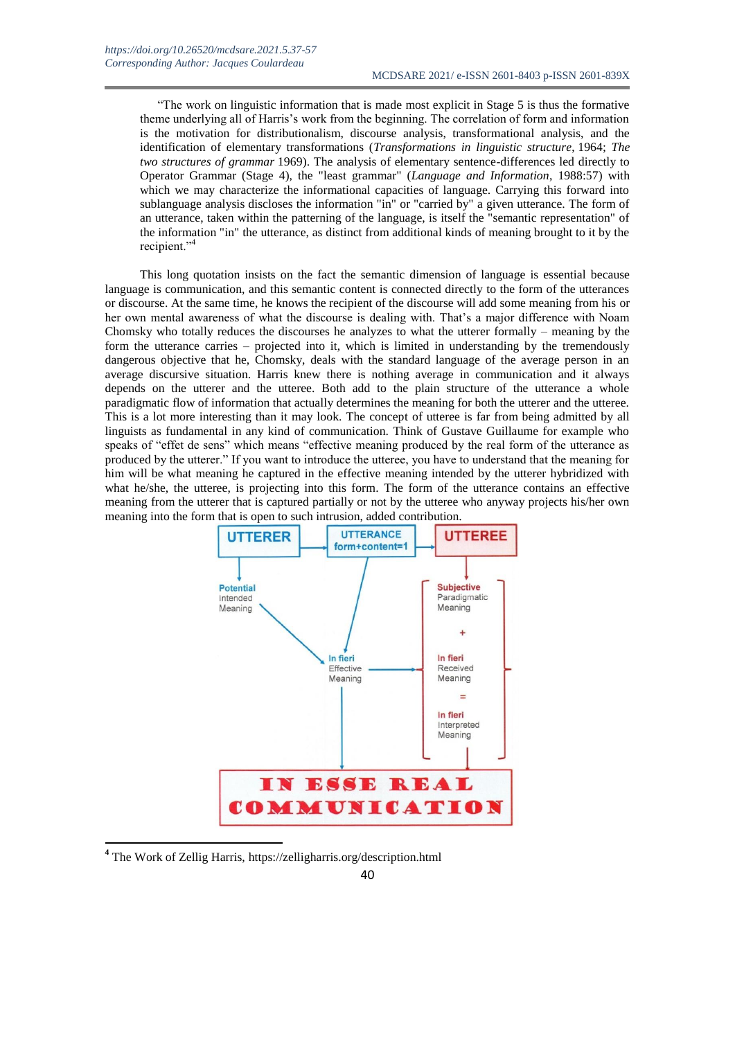"The work on linguistic information that is made most explicit in Stage 5 is thus the formative theme underlying all of Harris's work from the beginning. The correlation of form and information is the motivation for distributionalism, discourse analysis, transformational analysis, and the identification of elementary transformations (*Transformations in linguistic structure*, 1964; *The two structures of grammar* 1969). The analysis of elementary sentence-differences led directly to Operator Grammar (Stage 4), the "least grammar" (*Language and Information*, 1988:57) with which we may characterize the informational capacities of language. Carrying this forward into sublanguage analysis discloses the information "in" or "carried by" a given utterance. The form of an utterance, taken within the patterning of the language, is itself the "semantic representation" of the information "in" the utterance, as distinct from additional kinds of meaning brought to it by the recipient."<sup>4</sup>

This long quotation insists on the fact the semantic dimension of language is essential because language is communication, and this semantic content is connected directly to the form of the utterances or discourse. At the same time, he knows the recipient of the discourse will add some meaning from his or her own mental awareness of what the discourse is dealing with. That's a major difference with Noam Chomsky who totally reduces the discourses he analyzes to what the utterer formally – meaning by the form the utterance carries – projected into it, which is limited in understanding by the tremendously dangerous objective that he, Chomsky, deals with the standard language of the average person in an average discursive situation. Harris knew there is nothing average in communication and it always depends on the utterer and the utteree. Both add to the plain structure of the utterance a whole paradigmatic flow of information that actually determines the meaning for both the utterer and the utteree. This is a lot more interesting than it may look. The concept of utteree is far from being admitted by all linguists as fundamental in any kind of communication. Think of Gustave Guillaume for example who speaks of "effet de sens" which means "effective meaning produced by the real form of the utterance as produced by the utterer." If you want to introduce the utteree, you have to understand that the meaning for him will be what meaning he captured in the effective meaning intended by the utterer hybridized with what he/she, the utteree, is projecting into this form. The form of the utterance contains an effective meaning from the utterer that is captured partially or not by the utteree who anyway projects his/her own meaning into the form that is open to such intrusion, added contribution.



**<sup>4</sup>** The Work of Zellig Harris, <https://zelligharris.org/description.html>

1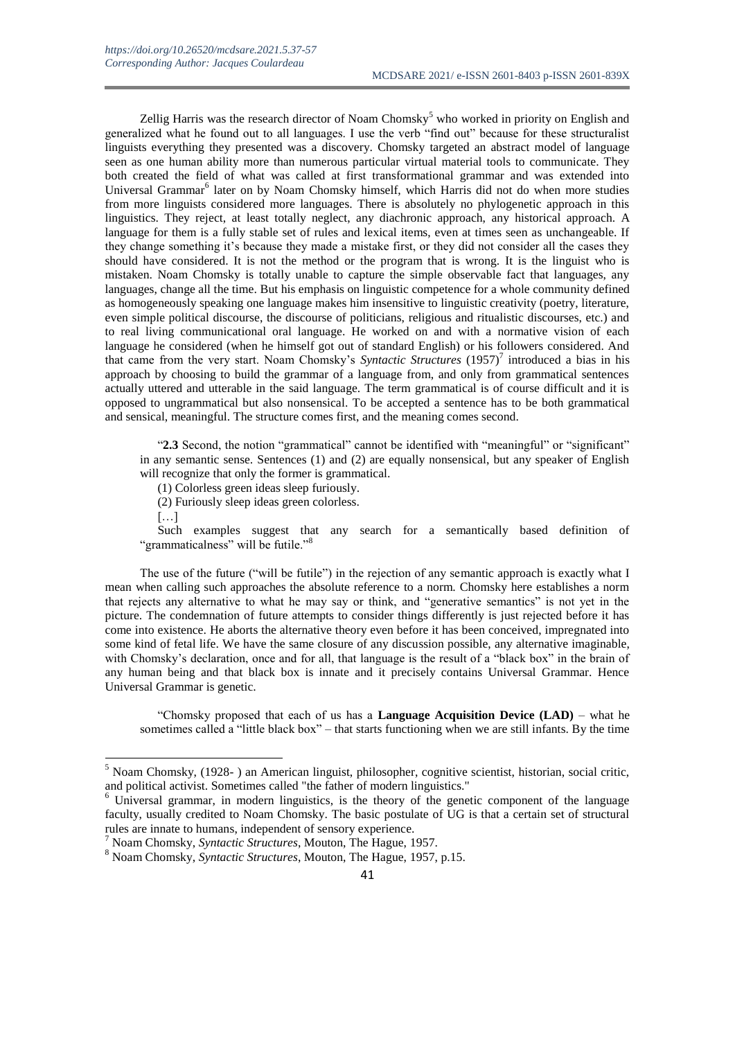Zellig Harris was the research director of Noam Chomsky<sup>5</sup> who worked in priority on English and generalized what he found out to all languages. I use the verb "find out" because for these structuralist linguists everything they presented was a discovery. Chomsky targeted an abstract model of language seen as one human ability more than numerous particular virtual material tools to communicate. They both created the field of what was called at first transformational grammar and was extended into Universal Grammar<sup>6</sup> later on by Noam Chomsky himself, which Harris did not do when more studies from more linguists considered more languages. There is absolutely no phylogenetic approach in this linguistics. They reject, at least totally neglect, any diachronic approach, any historical approach. A language for them is a fully stable set of rules and lexical items, even at times seen as unchangeable. If they change something it's because they made a mistake first, or they did not consider all the cases they should have considered. It is not the method or the program that is wrong. It is the linguist who is mistaken. Noam Chomsky is totally unable to capture the simple observable fact that languages, any languages, change all the time. But his emphasis on linguistic competence for a whole community defined as homogeneously speaking one language makes him insensitive to linguistic creativity (poetry, literature, even simple political discourse, the discourse of politicians, religious and ritualistic discourses, etc.) and to real living communicational oral language. He worked on and with a normative vision of each language he considered (when he himself got out of standard English) or his followers considered. And that came from the very start. Noam Chomsky's *Syntactic Structures* (1957)<sup>7</sup> introduced a bias in his approach by choosing to build the grammar of a language from, and only from grammatical sentences actually uttered and utterable in the said language. The term grammatical is of course difficult and it is opposed to ungrammatical but also nonsensical. To be accepted a sentence has to be both grammatical and sensical, meaningful. The structure comes first, and the meaning comes second.

"2.3 Second, the notion "grammatical" cannot be identified with "meaningful" or "significant" in any semantic sense. Sentences (1) and (2) are equally nonsensical, but any speaker of English will recognize that only the former is grammatical.

(1) Colorless green ideas sleep furiously.

(2) Furiously sleep ideas green colorless.

 $[\dots]$ 

1

Such examples suggest that any search for a semantically based definition of "grammaticalness" will be futile."<sup>8</sup>

The use of the future ("will be futile") in the rejection of any semantic approach is exactly what I mean when calling such approaches the absolute reference to a norm. Chomsky here establishes a norm that rejects any alternative to what he may say or think, and "generative semantics" is not yet in the picture. The condemnation of future attempts to consider things differently is just rejected before it has come into existence. He aborts the alternative theory even before it has been conceived, impregnated into some kind of fetal life. We have the same closure of any discussion possible, any alternative imaginable, with Chomsky's declaration, once and for all, that language is the result of a "black box" in the brain of any human being and that black box is innate and it precisely contains Universal Grammar. Hence Universal Grammar is genetic.

"Chomsky proposed that each of us has a **Language Acquisition Device (LAD)** – what he sometimes called a "little black box" – that starts functioning when we are still infants. By the time

<sup>5</sup> Noam Chomsky, (1928- ) an American linguist, philosopher, cognitive scientist, historian, social critic, and political activist. Sometimes called "the father of modern linguistics."

<sup>&</sup>lt;sup>6</sup> Universal grammar, in modern linguistics, is the theory of the genetic component of the language faculty, usually credited to Noam Chomsky. The basic postulate of UG is that a certain set of structural rules are innate to humans, independent of sensory experience.

<sup>7</sup> Noam Chomsky, *Syntactic Structures*, Mouton, The Hague, 1957.

<sup>8</sup> Noam Chomsky, *Syntactic Structures*, Mouton, The Hague, 1957, p.15.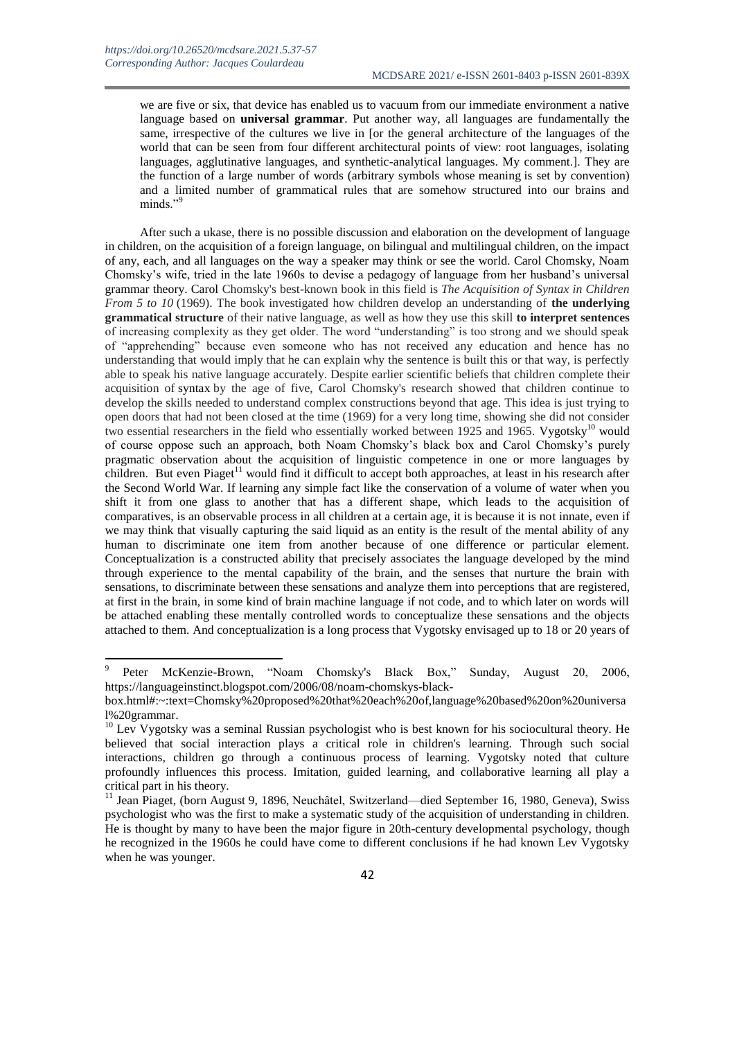we are five or six, that device has enabled us to vacuum from our immediate environment a native language based on **universal grammar**. Put another way, all languages are fundamentally the same, irrespective of the cultures we live in [or the general architecture of the languages of the world that can be seen from four different architectural points of view: root languages, isolating languages, agglutinative languages, and synthetic-analytical languages. My comment.]. They are the function of a large number of words (arbitrary symbols whose meaning is set by convention) and a limited number of grammatical rules that are somehow structured into our brains and minds."

After such a ukase, there is no possible discussion and elaboration on the development of language in children, on the acquisition of a foreign language, on bilingual and multilingual children, on the impact of any, each, and all languages on the way a speaker may think or see the world. Carol Chomsky, Noam Chomsky's wife, tried in the late 1960s to devise a pedagogy of language from her husband's universal grammar theory. Carol Chomsky's best-known book in this field is *The Acquisition of Syntax in Children From 5 to 10* (1969). The book investigated how children develop an understanding of **the underlying grammatical structure** of their native language, as well as how they use this skill **to interpret sentences** of increasing complexity as they get older. The word "understanding" is too strong and we should speak of "apprehending" because even someone who has not received any education and hence has no understanding that would imply that he can explain why the sentence is built this or that way, is perfectly able to speak his native language accurately. Despite earlier scientific beliefs that children complete their acquisition of syntax by the age of five, Carol Chomsky's research showed that children continue to develop the skills needed to understand complex constructions beyond that age. This idea is just trying to open doors that had not been closed at the time (1969) for a very long time, showing she did not consider two essential researchers in the field who essentially worked between 1925 and 1965. Vygotsky<sup>10</sup> would of course oppose such an approach, both Noam Chomsky's black box and Carol Chomsky's purely pragmatic observation about the acquisition of linguistic competence in one or more languages by children. But even Piaget<sup>11</sup> would find it difficult to accept both approaches, at least in his research after the Second World War. If learning any simple fact like the conservation of a volume of water when you shift it from one glass to another that has a different shape, which leads to the acquisition of comparatives, is an observable process in all children at a certain age, it is because it is not innate, even if we may think that visually capturing the said liquid as an entity is the result of the mental ability of any human to discriminate one item from another because of one difference or particular element. Conceptualization is a constructed ability that precisely associates the language developed by the mind through experience to the mental capability of the brain, and the senses that nurture the brain with sensations, to discriminate between these sensations and analyze them into perceptions that are registered, at first in the brain, in some kind of brain machine language if not code, and to which later on words will be attached enabling these mentally controlled words to conceptualize these sensations and the objects attached to them. And conceptualization is a long process that Vygotsky envisaged up to 18 or 20 years of

<sup>9</sup> Peter McKenzie-Brown, "Noam Chomsky's Black Box," Sunday, August 20, 2006, [https://languageinstinct.blogspot.com/2006/08/noam-chomskys-black-](https://languageinstinct.blogspot.com/2006/08/noam-chomskys-black-box.html#:~:text=Chomsky%20proposed%20that%20each%20of,language%20based%20on%20universal%20grammar)

[box.html#:~:text=Chomsky%20proposed%20that%20each%20of,language%20based%20on%20universa](https://languageinstinct.blogspot.com/2006/08/noam-chomskys-black-box.html#:~:text=Chomsky%20proposed%20that%20each%20of,language%20based%20on%20universal%20grammar) [l%20grammar.](https://languageinstinct.blogspot.com/2006/08/noam-chomskys-black-box.html#:~:text=Chomsky%20proposed%20that%20each%20of,language%20based%20on%20universal%20grammar)

 $10$  Lev Vygotsky was a seminal Russian psychologist who is best known for his sociocultural theory. He believed that social interaction plays a critical role in children's learning. Through such social interactions, children go through a continuous process of learning. Vygotsky noted that culture profoundly influences this process. Imitation, guided learning, and collaborative learning all play a critical part in his theory.

<sup>&</sup>lt;sup>11</sup> Jean Piaget, (born August 9, 1896, Neuchâtel, Switzerland—died September 16, 1980, Geneva), Swiss psychologist who was the first to make a systematic study of the acquisition of understanding in children. He is thought by many to have been the major figure in 20th-century developmental psychology, though he recognized in the 1960s he could have come to different conclusions if he had known Lev Vygotsky when he was younger.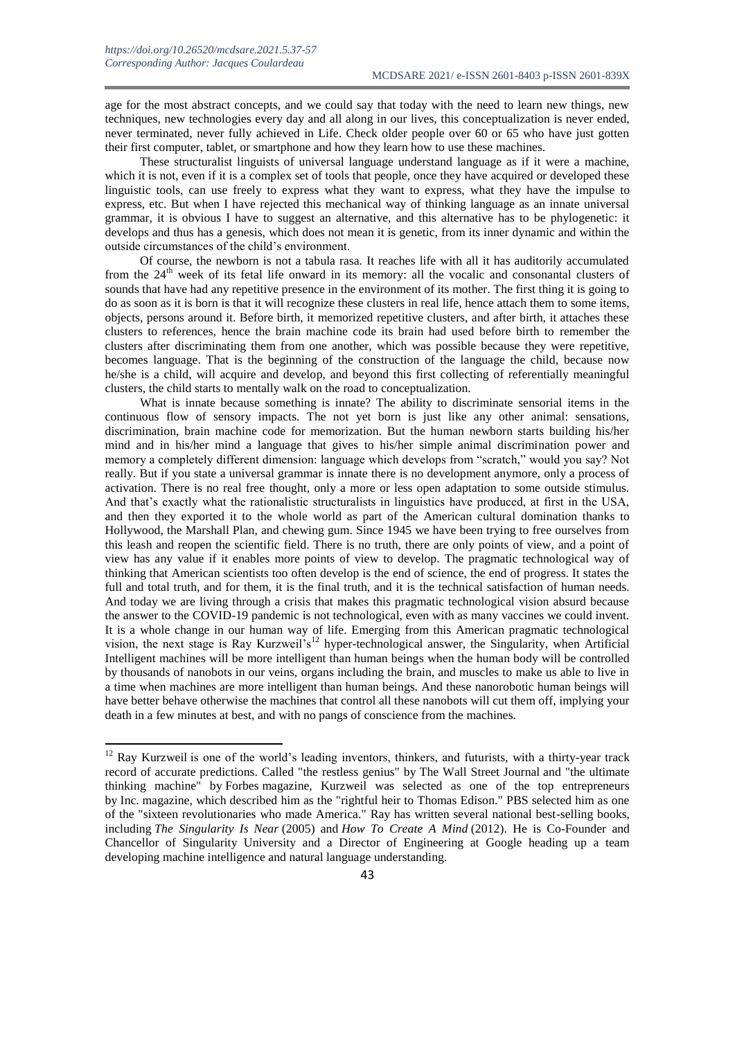age for the most abstract concepts, and we could say that today with the need to learn new things, new techniques, new technologies every day and all along in our lives, this conceptualization is never ended, never terminated, never fully achieved in Life. Check older people over 60 or 65 who have just gotten their first computer, tablet, or smartphone and how they learn how to use these machines.

These structuralist linguists of universal language understand language as if it were a machine, which it is not, even if it is a complex set of tools that people, once they have acquired or developed these linguistic tools, can use freely to express what they want to express, what they have the impulse to express, etc. But when I have rejected this mechanical way of thinking language as an innate universal grammar, it is obvious I have to suggest an alternative, and this alternative has to be phylogenetic: it develops and thus has a genesis, which does not mean it is genetic, from its inner dynamic and within the outside circumstances of the child's environment.

Of course, the newborn is not a tabula rasa. It reaches life with all it has auditorily accumulated from the 24<sup>th</sup> week of its fetal life onward in its memory: all the vocalic and consonantal clusters of sounds that have had any repetitive presence in the environment of its mother. The first thing it is going to do as soon as it is born is that it will recognize these clusters in real life, hence attach them to some items, objects, persons around it. Before birth, it memorized repetitive clusters, and after birth, it attaches these clusters to references, hence the brain machine code its brain had used before birth to remember the clusters after discriminating them from one another, which was possible because they were repetitive, becomes language. That is the beginning of the construction of the language the child, because now he/she is a child, will acquire and develop, and beyond this first collecting of referentially meaningful clusters, the child starts to mentally walk on the road to conceptualization.

What is innate because something is innate? The ability to discriminate sensorial items in the continuous flow of sensory impacts. The not yet born is just like any other animal: sensations, discrimination, brain machine code for memorization. But the human newborn starts building his/her mind and in his/her mind a language that gives to his/her simple animal discrimination power and memory a completely different dimension: language which develops from "scratch," would you say? Not really. But if you state a universal grammar is innate there is no development anymore, only a process of activation. There is no real free thought, only a more or less open adaptation to some outside stimulus. And that's exactly what the rationalistic structuralists in linguistics have produced, at first in the USA, and then they exported it to the whole world as part of the American cultural domination thanks to Hollywood, the Marshall Plan, and chewing gum. Since 1945 we have been trying to free ourselves from this leash and reopen the scientific field. There is no truth, there are only points of view, and a point of view has any value if it enables more points of view to develop. The pragmatic technological way of thinking that American scientists too often develop is the end of science, the end of progress. It states the full and total truth, and for them, it is the final truth, and it is the technical satisfaction of human needs. And today we are living through a crisis that makes this pragmatic technological vision absurd because the answer to the COVID-19 pandemic is not technological, even with as many vaccines we could invent. It is a whole change in our human way of life. Emerging from this American pragmatic technological vision, the next stage is Ray Kurzweil's<sup>12</sup> hyper-technological answer, the Singularity, when Artificial Intelligent machines will be more intelligent than human beings when the human body will be controlled by thousands of nanobots in our veins, organs including the brain, and muscles to make us able to live in a time when machines are more intelligent than human beings. And these nanorobotic human beings will have better behave otherwise the machines that control all these nanobots will cut them off, implying your death in a few minutes at best, and with no pangs of conscience from the machines.

 $12$  Ray Kurzweil is one of the world's leading inventors, thinkers, and futurists, with a thirty-year track record of accurate predictions. Called "the restless genius" by The Wall Street Journal and "the ultimate thinking machine" by Forbes magazine, Kurzweil was selected as one of the top entrepreneurs by Inc. magazine, which described him as the "rightful heir to Thomas Edison." PBS selected him as one of the "sixteen revolutionaries who made America." Ray has written several national best-selling books, including *The Singularity Is Near* (2005) and *How To Create A Mind* (2012). He is Co-Founder and Chancellor of Singularity University and a Director of Engineering at Google heading up a team developing machine intelligence and natural language understanding.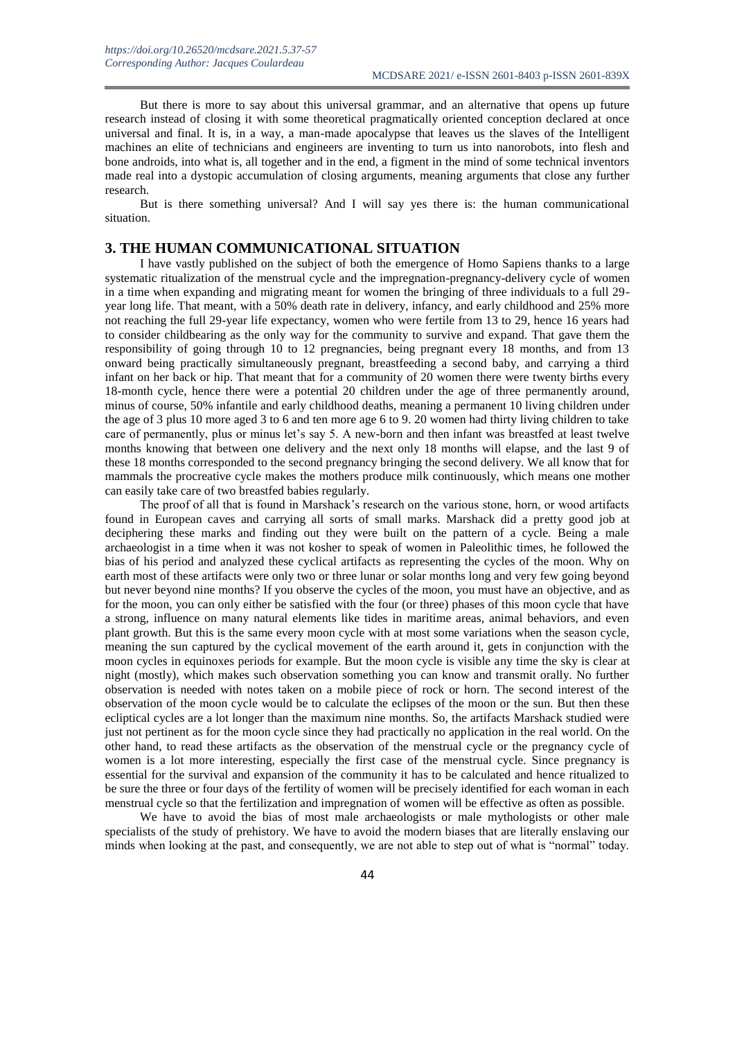But there is more to say about this universal grammar, and an alternative that opens up future research instead of closing it with some theoretical pragmatically oriented conception declared at once universal and final. It is, in a way, a man-made apocalypse that leaves us the slaves of the Intelligent machines an elite of technicians and engineers are inventing to turn us into nanorobots, into flesh and bone androids, into what is, all together and in the end, a figment in the mind of some technical inventors made real into a dystopic accumulation of closing arguments, meaning arguments that close any further research.

But is there something universal? And I will say yes there is: the human communicational situation.

### **3. THE HUMAN COMMUNICATIONAL SITUATION**

I have vastly published on the subject of both the emergence of Homo Sapiens thanks to a large systematic ritualization of the menstrual cycle and the impregnation-pregnancy-delivery cycle of women in a time when expanding and migrating meant for women the bringing of three individuals to a full 29 year long life. That meant, with a 50% death rate in delivery, infancy, and early childhood and 25% more not reaching the full 29-year life expectancy, women who were fertile from 13 to 29, hence 16 years had to consider childbearing as the only way for the community to survive and expand. That gave them the responsibility of going through 10 to 12 pregnancies, being pregnant every 18 months, and from 13 onward being practically simultaneously pregnant, breastfeeding a second baby, and carrying a third infant on her back or hip. That meant that for a community of 20 women there were twenty births every 18-month cycle, hence there were a potential 20 children under the age of three permanently around, minus of course, 50% infantile and early childhood deaths, meaning a permanent 10 living children under the age of 3 plus 10 more aged 3 to 6 and ten more age 6 to 9. 20 women had thirty living children to take care of permanently, plus or minus let's say 5. A new-born and then infant was breastfed at least twelve months knowing that between one delivery and the next only 18 months will elapse, and the last 9 of these 18 months corresponded to the second pregnancy bringing the second delivery. We all know that for mammals the procreative cycle makes the mothers produce milk continuously, which means one mother can easily take care of two breastfed babies regularly.

The proof of all that is found in Marshack's research on the various stone, horn, or wood artifacts found in European caves and carrying all sorts of small marks. Marshack did a pretty good job at deciphering these marks and finding out they were built on the pattern of a cycle. Being a male archaeologist in a time when it was not kosher to speak of women in Paleolithic times, he followed the bias of his period and analyzed these cyclical artifacts as representing the cycles of the moon. Why on earth most of these artifacts were only two or three lunar or solar months long and very few going beyond but never beyond nine months? If you observe the cycles of the moon, you must have an objective, and as for the moon, you can only either be satisfied with the four (or three) phases of this moon cycle that have a strong, influence on many natural elements like tides in maritime areas, animal behaviors, and even plant growth. But this is the same every moon cycle with at most some variations when the season cycle, meaning the sun captured by the cyclical movement of the earth around it, gets in conjunction with the moon cycles in equinoxes periods for example. But the moon cycle is visible any time the sky is clear at night (mostly), which makes such observation something you can know and transmit orally. No further observation is needed with notes taken on a mobile piece of rock or horn. The second interest of the observation of the moon cycle would be to calculate the eclipses of the moon or the sun. But then these ecliptical cycles are a lot longer than the maximum nine months. So, the artifacts Marshack studied were just not pertinent as for the moon cycle since they had practically no application in the real world. On the other hand, to read these artifacts as the observation of the menstrual cycle or the pregnancy cycle of women is a lot more interesting, especially the first case of the menstrual cycle. Since pregnancy is essential for the survival and expansion of the community it has to be calculated and hence ritualized to be sure the three or four days of the fertility of women will be precisely identified for each woman in each menstrual cycle so that the fertilization and impregnation of women will be effective as often as possible.

We have to avoid the bias of most male archaeologists or male mythologists or other male specialists of the study of prehistory. We have to avoid the modern biases that are literally enslaving our minds when looking at the past, and consequently, we are not able to step out of what is "normal" today.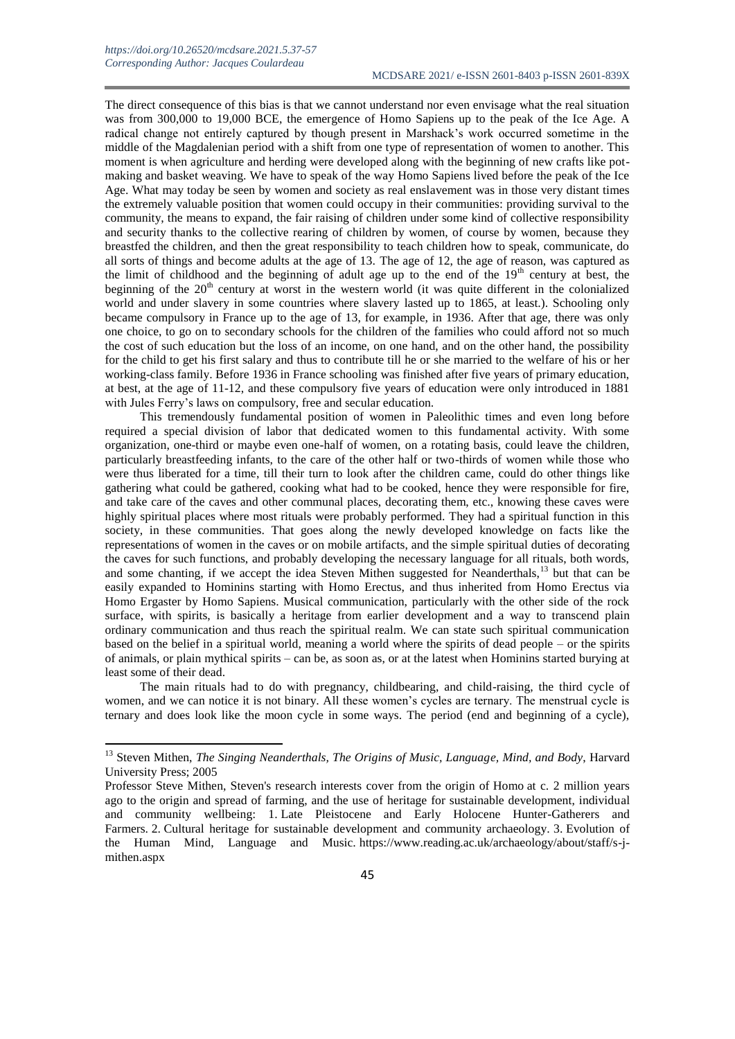The direct consequence of this bias is that we cannot understand nor even envisage what the real situation was from 300,000 to 19,000 BCE, the emergence of Homo Sapiens up to the peak of the Ice Age. A radical change not entirely captured by though present in Marshack's work occurred sometime in the middle of the Magdalenian period with a shift from one type of representation of women to another. This moment is when agriculture and herding were developed along with the beginning of new crafts like potmaking and basket weaving. We have to speak of the way Homo Sapiens lived before the peak of the Ice Age. What may today be seen by women and society as real enslavement was in those very distant times the extremely valuable position that women could occupy in their communities: providing survival to the community, the means to expand, the fair raising of children under some kind of collective responsibility and security thanks to the collective rearing of children by women, of course by women, because they breastfed the children, and then the great responsibility to teach children how to speak, communicate, do all sorts of things and become adults at the age of 13. The age of 12, the age of reason, was captured as the limit of childhood and the beginning of adult age up to the end of the  $19<sup>th</sup>$  century at best, the beginning of the  $20<sup>th</sup>$  century at worst in the western world (it was quite different in the colonialized world and under slavery in some countries where slavery lasted up to 1865, at least.). Schooling only became compulsory in France up to the age of 13, for example, in 1936. After that age, there was only one choice, to go on to secondary schools for the children of the families who could afford not so much the cost of such education but the loss of an income, on one hand, and on the other hand, the possibility for the child to get his first salary and thus to contribute till he or she married to the welfare of his or her working-class family. Before 1936 in France schooling was finished after five years of primary education, at best, at the age of 11-12, and these compulsory five years of education were only introduced in 1881 with Jules Ferry's laws on compulsory, free and secular education.

This tremendously fundamental position of women in Paleolithic times and even long before required a special division of labor that dedicated women to this fundamental activity. With some organization, one-third or maybe even one-half of women, on a rotating basis, could leave the children, particularly breastfeeding infants, to the care of the other half or two-thirds of women while those who were thus liberated for a time, till their turn to look after the children came, could do other things like gathering what could be gathered, cooking what had to be cooked, hence they were responsible for fire, and take care of the caves and other communal places, decorating them, etc., knowing these caves were highly spiritual places where most rituals were probably performed. They had a spiritual function in this society, in these communities. That goes along the newly developed knowledge on facts like the representations of women in the caves or on mobile artifacts, and the simple spiritual duties of decorating the caves for such functions, and probably developing the necessary language for all rituals, both words, and some chanting, if we accept the idea Steven Mithen suggested for Neanderthals,<sup>13</sup> but that can be easily expanded to Hominins starting with Homo Erectus, and thus inherited from Homo Erectus via Homo Ergaster by Homo Sapiens. Musical communication, particularly with the other side of the rock surface, with spirits, is basically a heritage from earlier development and a way to transcend plain ordinary communication and thus reach the spiritual realm. We can state such spiritual communication based on the belief in a spiritual world, meaning a world where the spirits of dead people – or the spirits of animals, or plain mythical spirits – can be, as soon as, or at the latest when Hominins started burying at least some of their dead.

The main rituals had to do with pregnancy, childbearing, and child-raising, the third cycle of women, and we can notice it is not binary. All these women's cycles are ternary. The menstrual cycle is ternary and does look like the moon cycle in some ways. The period (end and beginning of a cycle),

<sup>13</sup> Steven Mithen, *The Singing Neanderthals, The Origins of Music, Language, Mind, and Body*, Harvard University Press; 2005

Professor Steve Mithen, Steven's research interests cover from the origin of Homo at c. 2 million years ago to the origin and spread of farming, and the use of heritage for sustainable development, individual and community wellbeing: 1. Late Pleistocene and Early Holocene Hunter-Gatherers and Farmers. 2. Cultural heritage for sustainable development and community archaeology. 3. Evolution of the Human Mind, Language and Music. [https://www.reading.ac.uk/archaeology/about/staff/s-j](https://www.reading.ac.uk/archaeology/about/staff/s-j-mithen.aspx)[mithen.aspx](https://www.reading.ac.uk/archaeology/about/staff/s-j-mithen.aspx)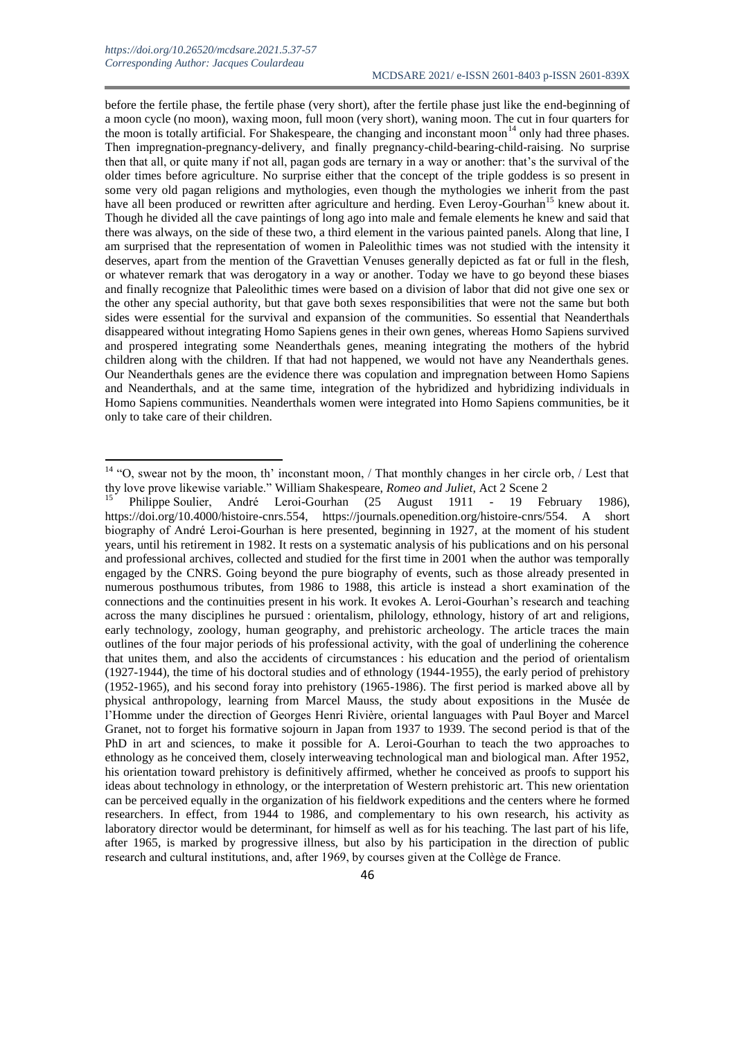1

before the fertile phase, the fertile phase (very short), after the fertile phase just like the end-beginning of a moon cycle (no moon), waxing moon, full moon (very short), waning moon. The cut in four quarters for the moon is totally artificial. For Shakespeare, the changing and inconstant moon<sup>14</sup> only had three phases. Then impregnation-pregnancy-delivery, and finally pregnancy-child-bearing-child-raising. No surprise then that all, or quite many if not all, pagan gods are ternary in a way or another: that's the survival of the older times before agriculture. No surprise either that the concept of the triple goddess is so present in some very old pagan religions and mythologies, even though the mythologies we inherit from the past have all been produced or rewritten after agriculture and herding. Even Leroy-Gourhan<sup>15</sup> knew about it. Though he divided all the cave paintings of long ago into male and female elements he knew and said that there was always, on the side of these two, a third element in the various painted panels. Along that line, I am surprised that the representation of women in Paleolithic times was not studied with the intensity it deserves, apart from the mention of the Gravettian Venuses generally depicted as fat or full in the flesh, or whatever remark that was derogatory in a way or another. Today we have to go beyond these biases and finally recognize that Paleolithic times were based on a division of labor that did not give one sex or the other any special authority, but that gave both sexes responsibilities that were not the same but both sides were essential for the survival and expansion of the communities. So essential that Neanderthals disappeared without integrating Homo Sapiens genes in their own genes, whereas Homo Sapiens survived and prospered integrating some Neanderthals genes, meaning integrating the mothers of the hybrid children along with the children. If that had not happened, we would not have any Neanderthals genes. Our Neanderthals genes are the evidence there was copulation and impregnation between Homo Sapiens and Neanderthals, and at the same time, integration of the hybridized and hybridizing individuals in Homo Sapiens communities. Neanderthals women were integrated into Homo Sapiens communities, be it only to take care of their children.

 $14$  "O, swear not by the moon, th' inconstant moon, / That monthly changes in her circle orb, / Lest that thy love prove likewise variable." William Shakespeare, *Romeo and Juliet*, Act 2 Scene 2

<sup>15</sup> Philippe Soulier, André Leroi-Gourhan (25 August 1911 - 19 February 1986), [https://doi.org/10.4000/histoire-cnrs.554,](https://doi.org/10.4000/histoire-cnrs.554) [https://journals.openedition.org/histoire-cnrs/554.](https://journals.openedition.org/histoire-cnrs/554) A short biography of André Leroi-Gourhan is here presented, beginning in 1927, at the moment of his student years, until his retirement in 1982. It rests on a systematic analysis of his publications and on his personal and professional archives, collected and studied for the first time in 2001 when the author was temporally engaged by the CNRS. Going beyond the pure biography of events, such as those already presented in numerous posthumous tributes, from 1986 to 1988, this article is instead a short examination of the connections and the continuities present in his work. It evokes A. Leroi-Gourhan's research and teaching across the many disciplines he pursued : orientalism, philology, ethnology, history of art and religions, early technology, zoology, human geography, and prehistoric archeology. The article traces the main outlines of the four major periods of his professional activity, with the goal of underlining the coherence that unites them, and also the accidents of circumstances : his education and the period of orientalism (1927-1944), the time of his doctoral studies and of ethnology (1944-1955), the early period of prehistory (1952-1965), and his second foray into prehistory (1965-1986). The first period is marked above all by physical anthropology, learning from Marcel Mauss, the study about expositions in the Musée de l'Homme under the direction of Georges Henri Rivière, oriental languages with Paul Boyer and Marcel Granet, not to forget his formative sojourn in Japan from 1937 to 1939. The second period is that of the PhD in art and sciences, to make it possible for A. Leroi-Gourhan to teach the two approaches to ethnology as he conceived them, closely interweaving technological man and biological man. After 1952, his orientation toward prehistory is definitively affirmed, whether he conceived as proofs to support his ideas about technology in ethnology, or the interpretation of Western prehistoric art. This new orientation can be perceived equally in the organization of his fieldwork expeditions and the centers where he formed researchers. In effect, from 1944 to 1986, and complementary to his own research, his activity as laboratory director would be determinant, for himself as well as for his teaching. The last part of his life, after 1965, is marked by progressive illness, but also by his participation in the direction of public research and cultural institutions, and, after 1969, by courses given at the Collège de France.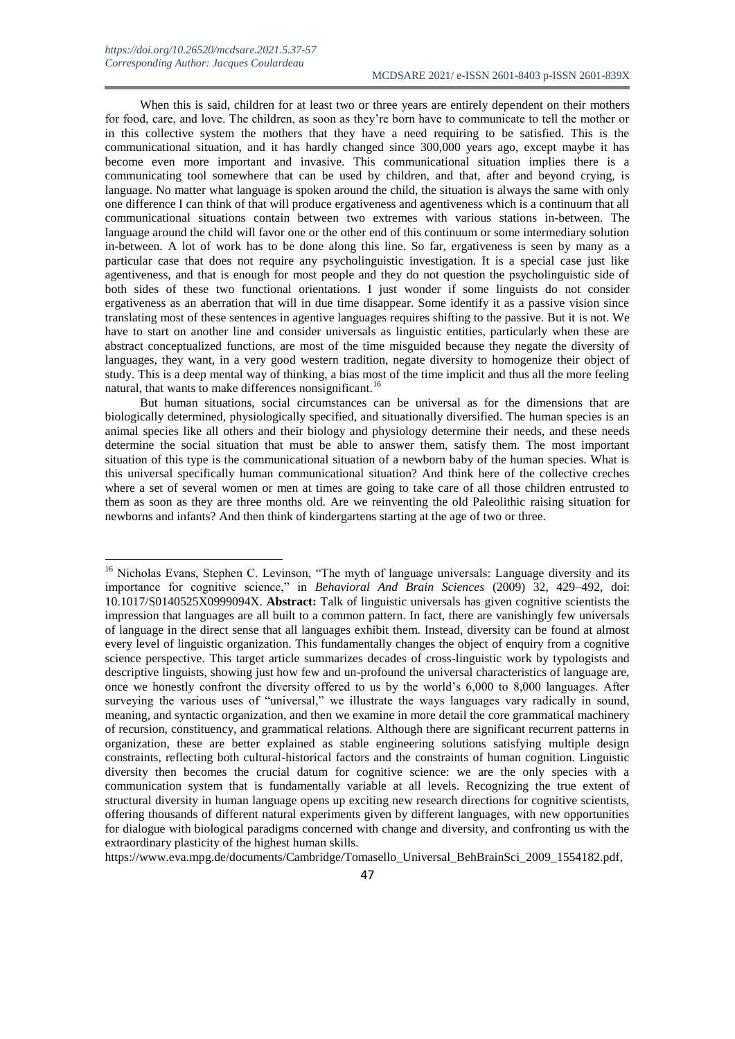When this is said, children for at least two or three years are entirely dependent on their mothers for food, care, and love. The children, as soon as they're born have to communicate to tell the mother or in this collective system the mothers that they have a need requiring to be satisfied. This is the communicational situation, and it has hardly changed since 300,000 years ago, except maybe it has become even more important and invasive. This communicational situation implies there is a communicating tool somewhere that can be used by children, and that, after and beyond crying, is language. No matter what language is spoken around the child, the situation is always the same with only one difference I can think of that will produce ergativeness and agentiveness which is a continuum that all communicational situations contain between two extremes with various stations in-between. The language around the child will favor one or the other end of this continuum or some intermediary solution in-between. A lot of work has to be done along this line. So far, ergativeness is seen by many as a particular case that does not require any psycholinguistic investigation. It is a special case just like agentiveness, and that is enough for most people and they do not question the psycholinguistic side of both sides of these two functional orientations. I just wonder if some linguists do not consider ergativeness as an aberration that will in due time disappear. Some identify it as a passive vision since translating most of these sentences in agentive languages requires shifting to the passive. But it is not. We have to start on another line and consider universals as linguistic entities, particularly when these are abstract conceptualized functions, are most of the time misguided because they negate the diversity of languages, they want, in a very good western tradition, negate diversity to homogenize their object of study. This is a deep mental way of thinking, a bias most of the time implicit and thus all the more feeling natural, that wants to make differences nonsignificant.<sup>16</sup>

But human situations, social circumstances can be universal as for the dimensions that are biologically determined, physiologically specified, and situationally diversified. The human species is an animal species like all others and their biology and physiology determine their needs, and these needs determine the social situation that must be able to answer them, satisfy them. The most important situation of this type is the communicational situation of a newborn baby of the human species. What is this universal specifically human communicational situation? And think here of the collective creches where a set of several women or men at times are going to take care of all those children entrusted to them as soon as they are three months old. Are we reinventing the old Paleolithic raising situation for newborns and infants? And then think of kindergartens starting at the age of two or three.

[https://www.eva.mpg.de/documents/Cambridge/Tomasello\\_Universal\\_BehBrainSci\\_2009\\_1554182.pdf,](https://www.eva.mpg.de/documents/Cambridge/Tomasello_Universal_BehBrainSci_2009_1554182.pdf)

<sup>&</sup>lt;sup>16</sup> Nicholas Evans, Stephen C. Levinson, "The myth of language universals: Language diversity and its importance for cognitive science," in *Behavioral And Brain Sciences* (2009) 32, 429–492, doi: 10.1017/S0140525X0999094X. **Abstract:** Talk of linguistic universals has given cognitive scientists the impression that languages are all built to a common pattern. In fact, there are vanishingly few universals of language in the direct sense that all languages exhibit them. Instead, diversity can be found at almost every level of linguistic organization. This fundamentally changes the object of enquiry from a cognitive science perspective. This target article summarizes decades of cross-linguistic work by typologists and descriptive linguists, showing just how few and un-profound the universal characteristics of language are, once we honestly confront the diversity offered to us by the world's 6,000 to 8,000 languages. After surveying the various uses of "universal," we illustrate the ways languages vary radically in sound, meaning, and syntactic organization, and then we examine in more detail the core grammatical machinery of recursion, constituency, and grammatical relations. Although there are significant recurrent patterns in organization, these are better explained as stable engineering solutions satisfying multiple design constraints, reflecting both cultural-historical factors and the constraints of human cognition. Linguistic diversity then becomes the crucial datum for cognitive science: we are the only species with a communication system that is fundamentally variable at all levels. Recognizing the true extent of structural diversity in human language opens up exciting new research directions for cognitive scientists, offering thousands of different natural experiments given by different languages, with new opportunities for dialogue with biological paradigms concerned with change and diversity, and confronting us with the extraordinary plasticity of the highest human skills.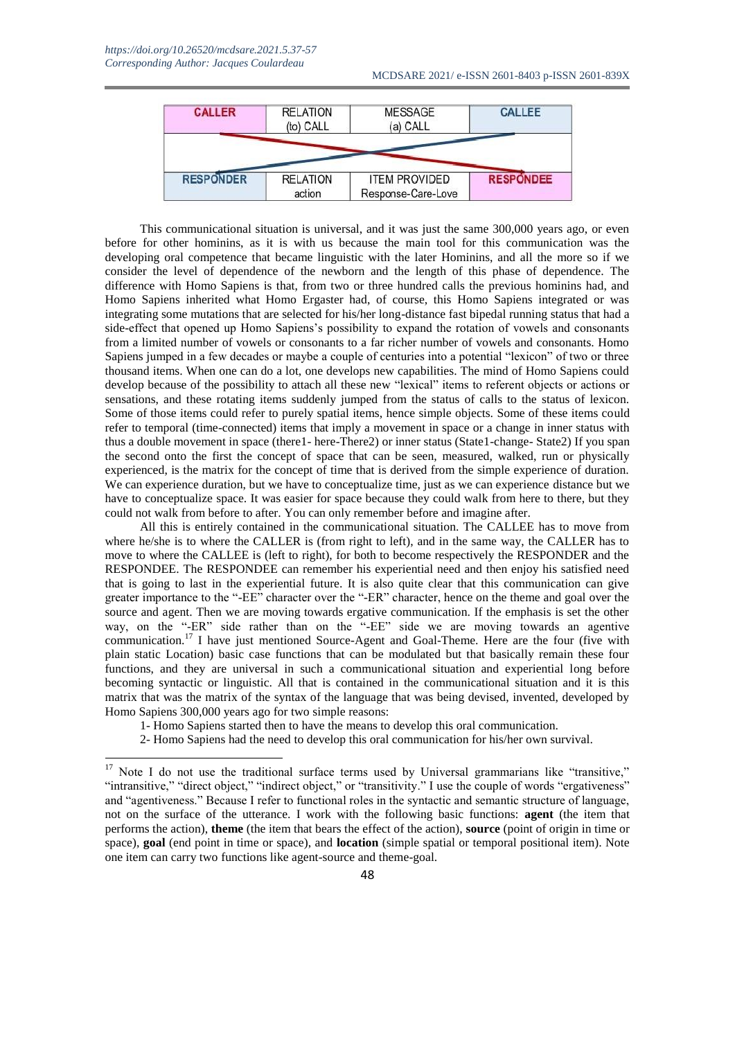1



This communicational situation is universal, and it was just the same 300,000 years ago, or even before for other hominins, as it is with us because the main tool for this communication was the developing oral competence that became linguistic with the later Hominins, and all the more so if we consider the level of dependence of the newborn and the length of this phase of dependence. The difference with Homo Sapiens is that, from two or three hundred calls the previous hominins had, and Homo Sapiens inherited what Homo Ergaster had, of course, this Homo Sapiens integrated or was integrating some mutations that are selected for his/her long-distance fast bipedal running status that had a side-effect that opened up Homo Sapiens's possibility to expand the rotation of vowels and consonants from a limited number of vowels or consonants to a far richer number of vowels and consonants. Homo Sapiens jumped in a few decades or maybe a couple of centuries into a potential "lexicon" of two or three thousand items. When one can do a lot, one develops new capabilities. The mind of Homo Sapiens could develop because of the possibility to attach all these new "lexical" items to referent objects or actions or sensations, and these rotating items suddenly jumped from the status of calls to the status of lexicon. Some of those items could refer to purely spatial items, hence simple objects. Some of these items could refer to temporal (time-connected) items that imply a movement in space or a change in inner status with thus a double movement in space (there1- here-There2) or inner status (State1-change- State2) If you span the second onto the first the concept of space that can be seen, measured, walked, run or physically experienced, is the matrix for the concept of time that is derived from the simple experience of duration. We can experience duration, but we have to conceptualize time, just as we can experience distance but we have to conceptualize space. It was easier for space because they could walk from here to there, but they could not walk from before to after. You can only remember before and imagine after.

All this is entirely contained in the communicational situation. The CALLEE has to move from where he/she is to where the CALLER is (from right to left), and in the same way, the CALLER has to move to where the CALLEE is (left to right), for both to become respectively the RESPONDER and the RESPONDEE. The RESPONDEE can remember his experiential need and then enjoy his satisfied need that is going to last in the experiential future. It is also quite clear that this communication can give greater importance to the "-EE" character over the "-ER" character, hence on the theme and goal over the source and agent. Then we are moving towards ergative communication. If the emphasis is set the other way, on the "-ER" side rather than on the "-EE" side we are moving towards an agentive communication.<sup>17</sup> I have just mentioned Source-Agent and Goal-Theme. Here are the four (five with plain static Location) basic case functions that can be modulated but that basically remain these four functions, and they are universal in such a communicational situation and experiential long before becoming syntactic or linguistic. All that is contained in the communicational situation and it is this matrix that was the matrix of the syntax of the language that was being devised, invented, developed by Homo Sapiens 300,000 years ago for two simple reasons:

1- Homo Sapiens started then to have the means to develop this oral communication.

2- Homo Sapiens had the need to develop this oral communication for his/her own survival.

 $17$  Note I do not use the traditional surface terms used by Universal grammarians like "transitive," "intransitive," "direct object," "indirect object," or "transitivity." I use the couple of words "ergativeness" and "agentiveness." Because I refer to functional roles in the syntactic and semantic structure of language, not on the surface of the utterance. I work with the following basic functions: **agent** (the item that performs the action), **theme** (the item that bears the effect of the action), **source** (point of origin in time or space), **goal** (end point in time or space), and **location** (simple spatial or temporal positional item). Note one item can carry two functions like agent-source and theme-goal.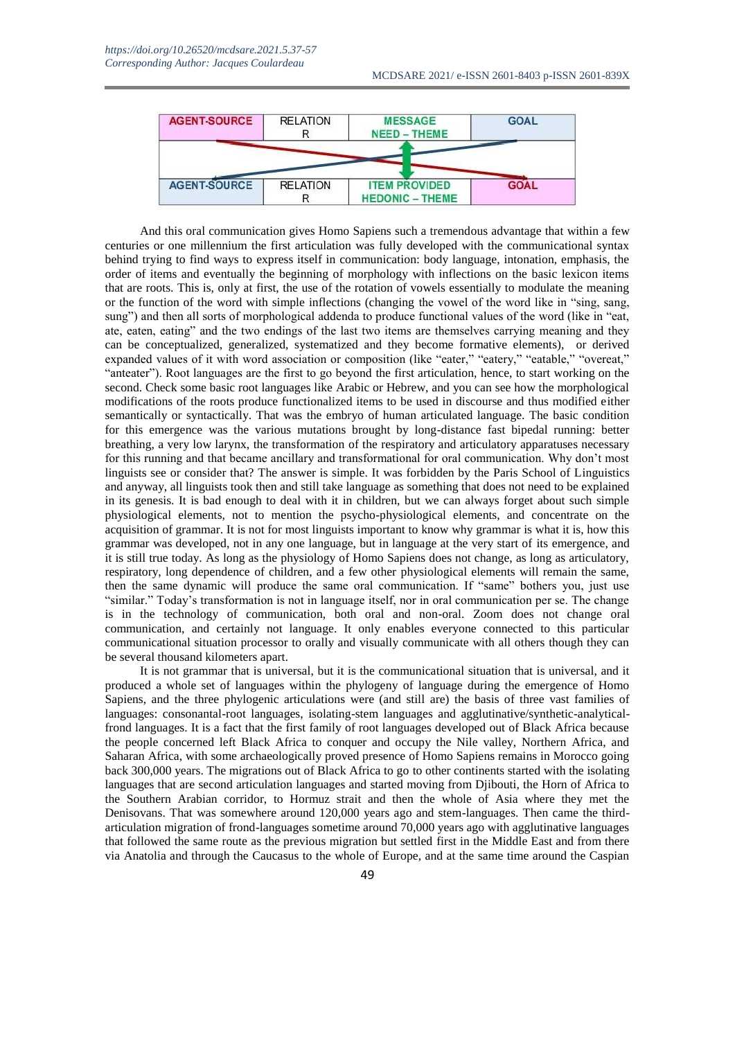

And this oral communication gives Homo Sapiens such a tremendous advantage that within a few centuries or one millennium the first articulation was fully developed with the communicational syntax behind trying to find ways to express itself in communication: body language, intonation, emphasis, the order of items and eventually the beginning of morphology with inflections on the basic lexicon items that are roots. This is, only at first, the use of the rotation of vowels essentially to modulate the meaning or the function of the word with simple inflections (changing the vowel of the word like in "sing, sang, sung") and then all sorts of morphological addenda to produce functional values of the word (like in "eat, ate, eaten, eating" and the two endings of the last two items are themselves carrying meaning and they can be conceptualized, generalized, systematized and they become formative elements), or derived expanded values of it with word association or composition (like "eater," "eatery," "eatable," "overeat," "anteater"). Root languages are the first to go beyond the first articulation, hence, to start working on the second. Check some basic root languages like Arabic or Hebrew, and you can see how the morphological modifications of the roots produce functionalized items to be used in discourse and thus modified either semantically or syntactically. That was the embryo of human articulated language. The basic condition for this emergence was the various mutations brought by long-distance fast bipedal running: better breathing, a very low larynx, the transformation of the respiratory and articulatory apparatuses necessary for this running and that became ancillary and transformational for oral communication. Why don't most linguists see or consider that? The answer is simple. It was forbidden by the Paris School of Linguistics and anyway, all linguists took then and still take language as something that does not need to be explained in its genesis. It is bad enough to deal with it in children, but we can always forget about such simple physiological elements, not to mention the psycho-physiological elements, and concentrate on the acquisition of grammar. It is not for most linguists important to know why grammar is what it is, how this grammar was developed, not in any one language, but in language at the very start of its emergence, and it is still true today. As long as the physiology of Homo Sapiens does not change, as long as articulatory, respiratory, long dependence of children, and a few other physiological elements will remain the same, then the same dynamic will produce the same oral communication. If "same" bothers you, just use "similar." Today's transformation is not in language itself, nor in oral communication per se. The change is in the technology of communication, both oral and non-oral. Zoom does not change oral communication, and certainly not language. It only enables everyone connected to this particular communicational situation processor to orally and visually communicate with all others though they can be several thousand kilometers apart.

It is not grammar that is universal, but it is the communicational situation that is universal, and it produced a whole set of languages within the phylogeny of language during the emergence of Homo Sapiens, and the three phylogenic articulations were (and still are) the basis of three vast families of languages: consonantal-root languages, isolating-stem languages and agglutinative/synthetic-analyticalfrond languages. It is a fact that the first family of root languages developed out of Black Africa because the people concerned left Black Africa to conquer and occupy the Nile valley, Northern Africa, and Saharan Africa, with some archaeologically proved presence of Homo Sapiens remains in Morocco going back 300,000 years. The migrations out of Black Africa to go to other continents started with the isolating languages that are second articulation languages and started moving from Djibouti, the Horn of Africa to the Southern Arabian corridor, to Hormuz strait and then the whole of Asia where they met the Denisovans. That was somewhere around 120,000 years ago and stem-languages. Then came the thirdarticulation migration of frond-languages sometime around 70,000 years ago with agglutinative languages that followed the same route as the previous migration but settled first in the Middle East and from there via Anatolia and through the Caucasus to the whole of Europe, and at the same time around the Caspian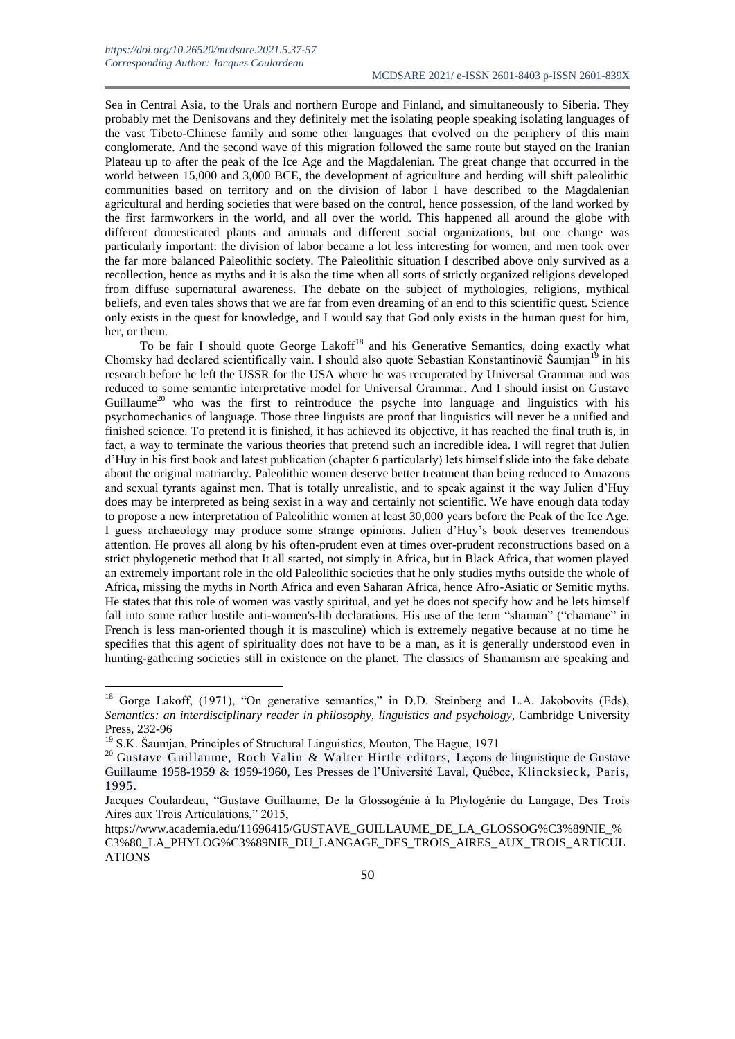Sea in Central Asia, to the Urals and northern Europe and Finland, and simultaneously to Siberia. They probably met the Denisovans and they definitely met the isolating people speaking isolating languages of the vast Tibeto-Chinese family and some other languages that evolved on the periphery of this main conglomerate. And the second wave of this migration followed the same route but stayed on the Iranian Plateau up to after the peak of the Ice Age and the Magdalenian. The great change that occurred in the world between 15,000 and 3,000 BCE, the development of agriculture and herding will shift paleolithic communities based on territory and on the division of labor I have described to the Magdalenian agricultural and herding societies that were based on the control, hence possession, of the land worked by the first farmworkers in the world, and all over the world. This happened all around the globe with different domesticated plants and animals and different social organizations, but one change was particularly important: the division of labor became a lot less interesting for women, and men took over the far more balanced Paleolithic society. The Paleolithic situation I described above only survived as a recollection, hence as myths and it is also the time when all sorts of strictly organized religions developed from diffuse supernatural awareness. The debate on the subject of mythologies, religions, mythical beliefs, and even tales shows that we are far from even dreaming of an end to this scientific quest. Science only exists in the quest for knowledge, and I would say that God only exists in the human quest for him, her, or them.

To be fair I should quote George Lakoff<sup>18</sup> and his Generative Semantics, doing exactly what Chomsky had declared scientifically vain. I should also quote Sebastian Konstantinovič Šaumjan<sup>19</sup> in his research before he left the USSR for the USA where he was recuperated by Universal Grammar and was reduced to some semantic interpretative model for Universal Grammar. And I should insist on Gustave Guillaume<sup>20</sup> who was the first to reintroduce the psyche into language and linguistics with his psychomechanics of language. Those three linguists are proof that linguistics will never be a unified and finished science. To pretend it is finished, it has achieved its objective, it has reached the final truth is, in fact, a way to terminate the various theories that pretend such an incredible idea. I will regret that Julien d'Huy in his first book and latest publication (chapter 6 particularly) lets himself slide into the fake debate about the original matriarchy. Paleolithic women deserve better treatment than being reduced to Amazons and sexual tyrants against men. That is totally unrealistic, and to speak against it the way Julien d'Huy does may be interpreted as being sexist in a way and certainly not scientific. We have enough data today to propose a new interpretation of Paleolithic women at least 30,000 years before the Peak of the Ice Age. I guess archaeology may produce some strange opinions. Julien d'Huy's book deserves tremendous attention. He proves all along by his often-prudent even at times over-prudent reconstructions based on a strict phylogenetic method that It all started, not simply in Africa, but in Black Africa, that women played an extremely important role in the old Paleolithic societies that he only studies myths outside the whole of Africa, missing the myths in North Africa and even Saharan Africa, hence Afro-Asiatic or Semitic myths. He states that this role of women was vastly spiritual, and yet he does not specify how and he lets himself fall into some rather hostile anti-women's-lib declarations. His use of the term "shaman" ("chamane" in French is less man-oriented though it is masculine) which is extremely negative because at no time he specifies that this agent of spirituality does not have to be a man, as it is generally understood even in hunting-gathering societies still in existence on the planet. The classics of Shamanism are speaking and

 $18\,$ <sup>18</sup> Gorge Lakoff, (1971), "On generative semantics," in D.D. Steinberg and L.A. Jakobovits (Eds), *Semantics: an interdisciplinary reader in philosophy, linguistics and psychology*, Cambridge University Press, 232-96

 $19$  S.K. Šaumjan, Principles of Structural Linguistics, Mouton, The Hague, 1971

 $20$  Gustave Guillaume, Roch Valin & Walter Hirtle editors, Leçons de linguistique de Gustave Guillaume 1958-1959 & 1959-1960, Les Presses de l'Université Laval, Québec, Klincksieck, Paris, 1995.

Jacques Coulardeau, "Gustave Guillaume, De la Glossogénie à la Phylogénie du Langage, Des Trois Aires aux Trois Articulations," 2015,

[https://www.academia.edu/11696415/GUSTAVE\\_GUILLAUME\\_DE\\_LA\\_GLOSSOG%C3%89NIE\\_%](https://www.academia.edu/11696415/GUSTAVE_GUILLAUME_DE_LA_GLOSSOG%C3%89NIE_%C3%80_LA_PHYLOG%C3%89NIE_DU_LANGAGE_DES_TROIS_AIRES_AUX_TROIS_ARTICULATIONS) [C3%80\\_LA\\_PHYLOG%C3%89NIE\\_DU\\_LANGAGE\\_DES\\_TROIS\\_AIRES\\_AUX\\_TROIS\\_ARTICUL](https://www.academia.edu/11696415/GUSTAVE_GUILLAUME_DE_LA_GLOSSOG%C3%89NIE_%C3%80_LA_PHYLOG%C3%89NIE_DU_LANGAGE_DES_TROIS_AIRES_AUX_TROIS_ARTICULATIONS) [ATIONS](https://www.academia.edu/11696415/GUSTAVE_GUILLAUME_DE_LA_GLOSSOG%C3%89NIE_%C3%80_LA_PHYLOG%C3%89NIE_DU_LANGAGE_DES_TROIS_AIRES_AUX_TROIS_ARTICULATIONS)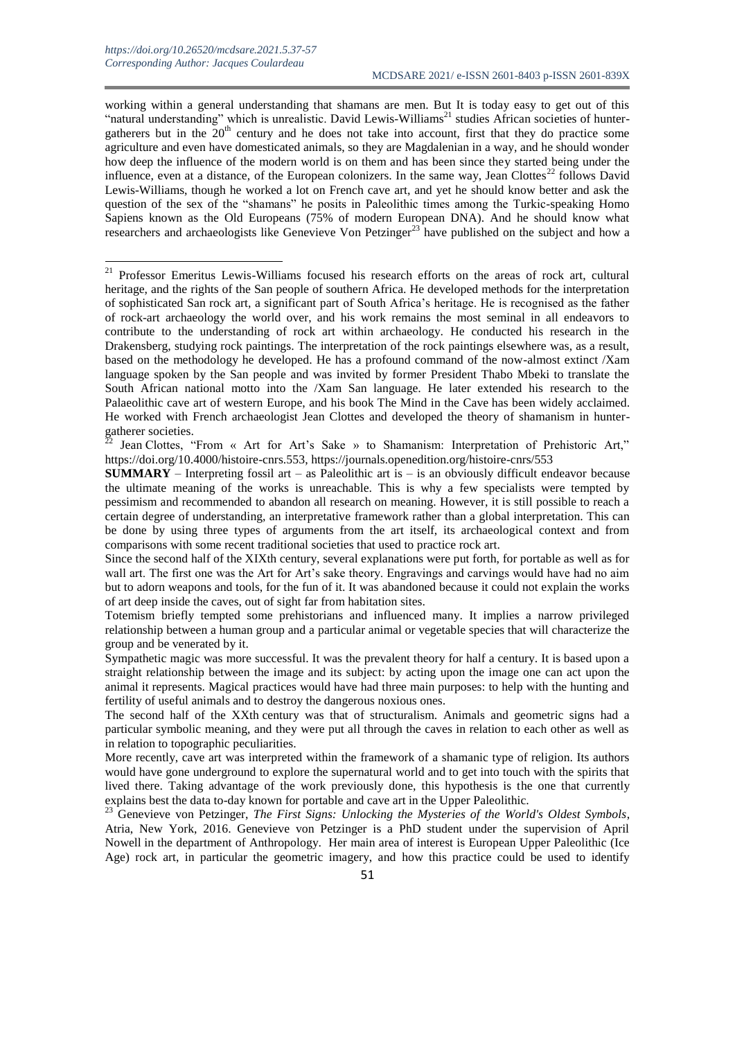working within a general understanding that shamans are men. But It is today easy to get out of this "natural understanding" which is unrealistic. David Lewis-Williams<sup>21</sup> studies African societies of huntergatherers but in the  $20<sup>th</sup>$  century and he does not take into account, first that they do practice some agriculture and even have domesticated animals, so they are Magdalenian in a way, and he should wonder how deep the influence of the modern world is on them and has been since they started being under the influence, even at a distance, of the European colonizers. In the same way, Jean Clottes<sup>22</sup> follows David Lewis-Williams, though he worked a lot on French cave art, and yet he should know better and ask the question of the sex of the "shamans" he posits in Paleolithic times among the Turkic-speaking Homo Sapiens known as the Old Europeans (75% of modern European DNA). And he should know what researchers and archaeologists like Genevieve Von Petzinger<sup>23</sup> have published on the subject and how a

<sup>2</sup> Jean Clottes, "From « Art for Art's Sake » to Shamanism: Interpretation of Prehistoric Art," [https://doi.org/10.4000/histoire-cnrs.553,](https://doi.org/10.4000/histoire-cnrs.553)<https://journals.openedition.org/histoire-cnrs/553>

**SUMMARY** – Interpreting fossil art – as Paleolithic art is – is an obviously difficult endeavor because the ultimate meaning of the works is unreachable. This is why a few specialists were tempted by pessimism and recommended to abandon all research on meaning. However, it is still possible to reach a certain degree of understanding, an interpretative framework rather than a global interpretation. This can be done by using three types of arguments from the art itself, its archaeological context and from comparisons with some recent traditional societies that used to practice rock art.

Since the second half of the XIXth century, several explanations were put forth, for portable as well as for wall art. The first one was the Art for Art's sake theory. Engravings and carvings would have had no aim but to adorn weapons and tools, for the fun of it. It was abandoned because it could not explain the works of art deep inside the caves, out of sight far from habitation sites.

<sup>&</sup>lt;sup>21</sup> Professor Emeritus Lewis-Williams focused his research efforts on the areas of rock art, cultural heritage, and the rights of the San people of southern Africa. He developed methods for the interpretation of sophisticated San rock art, a significant part of South Africa's heritage. He is recognised as the father of rock-art archaeology the world over, and his work remains the most seminal in all endeavors to contribute to the understanding of rock art within archaeology. He conducted his research in the Drakensberg, studying rock paintings. The interpretation of the rock paintings elsewhere was, as a result, based on the methodology he developed. He has a profound command of the now-almost extinct /Xam language spoken by the San people and was invited by former President Thabo Mbeki to translate the South African national motto into the /Xam San language. He later extended his research to the Palaeolithic cave art of western Europe, and his book The Mind in the Cave has been widely acclaimed. He worked with French archaeologist Jean Clottes and developed the theory of shamanism in huntergatherer societies.

Totemism briefly tempted some prehistorians and influenced many. It implies a narrow privileged relationship between a human group and a particular animal or vegetable species that will characterize the group and be venerated by it.

Sympathetic magic was more successful. It was the prevalent theory for half a century. It is based upon a straight relationship between the image and its subject: by acting upon the image one can act upon the animal it represents. Magical practices would have had three main purposes: to help with the hunting and fertility of useful animals and to destroy the dangerous noxious ones.

The second half of the XXth century was that of structuralism. Animals and geometric signs had a particular symbolic meaning, and they were put all through the caves in relation to each other as well as in relation to topographic peculiarities.

More recently, cave art was interpreted within the framework of a shamanic type of religion. Its authors would have gone underground to explore the supernatural world and to get into touch with the spirits that lived there. Taking advantage of the work previously done, this hypothesis is the one that currently explains best the data to-day known for portable and cave art in the Upper Paleolithic.

<sup>&</sup>lt;sup>23</sup> Genevieve von Petzinger, *The First Signs: Unlocking the Mysteries of the World's Oldest Symbols*, Atria, New York, 2016. Genevieve von Petzinger is a PhD student under the supervision of April Nowell in the department of Anthropology. Her main area of interest is European Upper Paleolithic (Ice Age) rock art, in particular the geometric imagery, and how this practice could be used to identify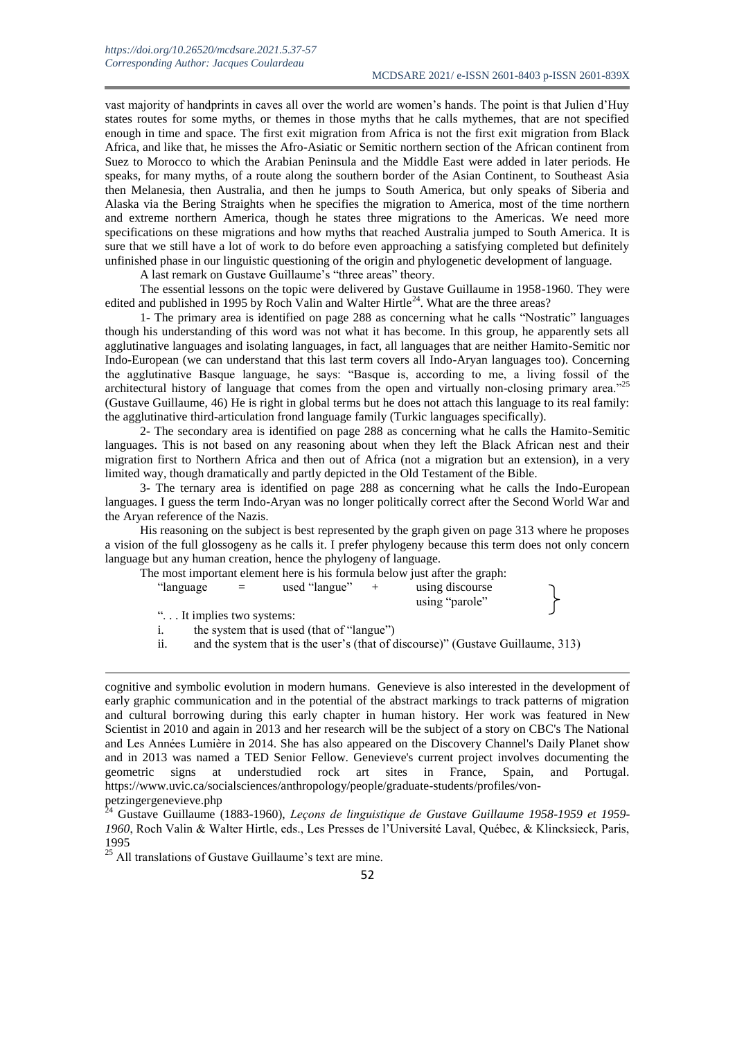vast majority of handprints in caves all over the world are women's hands. The point is that Julien d'Huy states routes for some myths, or themes in those myths that he calls mythemes, that are not specified enough in time and space. The first exit migration from Africa is not the first exit migration from Black Africa, and like that, he misses the Afro-Asiatic or Semitic northern section of the African continent from Suez to Morocco to which the Arabian Peninsula and the Middle East were added in later periods. He speaks, for many myths, of a route along the southern border of the Asian Continent, to Southeast Asia then Melanesia, then Australia, and then he jumps to South America, but only speaks of Siberia and Alaska via the Bering Straights when he specifies the migration to America, most of the time northern and extreme northern America, though he states three migrations to the Americas. We need more specifications on these migrations and how myths that reached Australia jumped to South America. It is sure that we still have a lot of work to do before even approaching a satisfying completed but definitely unfinished phase in our linguistic questioning of the origin and phylogenetic development of language.

A last remark on Gustave Guillaume's "three areas" theory.

The essential lessons on the topic were delivered by Gustave Guillaume in 1958-1960. They were edited and published in 1995 by Roch Valin and Walter Hirtle<sup>24</sup>. What are the three areas?

1- The primary area is identified on page 288 as concerning what he calls "Nostratic" languages though his understanding of this word was not what it has become. In this group, he apparently sets all agglutinative languages and isolating languages, in fact, all languages that are neither Hamito-Semitic nor Indo-European (we can understand that this last term covers all Indo-Aryan languages too). Concerning the agglutinative Basque language, he says: "Basque is, according to me, a living fossil of the architectural history of language that comes from the open and virtually non-closing primary area."<sup>25</sup> (Gustave Guillaume, 46) He is right in global terms but he does not attach this language to its real family: the agglutinative third-articulation frond language family (Turkic languages specifically).

2- The secondary area is identified on page 288 as concerning what he calls the Hamito-Semitic languages. This is not based on any reasoning about when they left the Black African nest and their migration first to Northern Africa and then out of Africa (not a migration but an extension), in a very limited way, though dramatically and partly depicted in the Old Testament of the Bible.

3- The ternary area is identified on page 288 as concerning what he calls the Indo-European languages. I guess the term Indo-Aryan was no longer politically correct after the Second World War and the Aryan reference of the Nazis.

His reasoning on the subject is best represented by the graph given on page 313 where he proposes a vision of the full glossogeny as he calls it. I prefer phylogeny because this term does not only concern language but any human creation, hence the phylogeny of language.

The most important element here is his formula below just after the graph:

| "language                 | = | used "langue" | using discourse |
|---------------------------|---|---------------|-----------------|
|                           |   |               | using "parole"  |
| " It implies two systems: |   |               |                 |

i. the system that is used (that of "langue")

ii. and the system that is the user's (that of discourse)" (Gustave Guillaume, 313)

cognitive and symbolic evolution in modern humans. Genevieve is also interested in the development of early graphic communication and in the potential of the abstract markings to track patterns of migration and cultural borrowing during this early chapter in human history. Her work was featured in New Scientist in 2010 and again in 2013 and her research will be the subject of a story on CBC's The National and Les Années Lumière in 2014. She has also appeared on the Discovery Channel's Daily Planet show and in 2013 was named a TED Senior Fellow. Genevieve's current project involves documenting the geometric signs at understudied rock art sites in France, Spain, and Portugal. [https://www.uvic.ca/socialsciences/anthropology/people/graduate-students/profiles/von](https://www.uvic.ca/socialsciences/anthropology/people/graduate-students/profiles/von-petzingergenevieve.php)[petzingergenevieve.php](https://www.uvic.ca/socialsciences/anthropology/people/graduate-students/profiles/von-petzingergenevieve.php)

<sup>24</sup> Gustave Guillaume (1883-1960), *Leçons de linguistique de Gustave Guillaume 1958-1959 et 1959- 1960*, Roch Valin & Walter Hirtle, eds., Les Presses de l'Université Laval, Québec, & Klincksieck, Paris, 1995

 $25$  All translations of Gustave Guillaume's text are mine.

 $\overline{a}$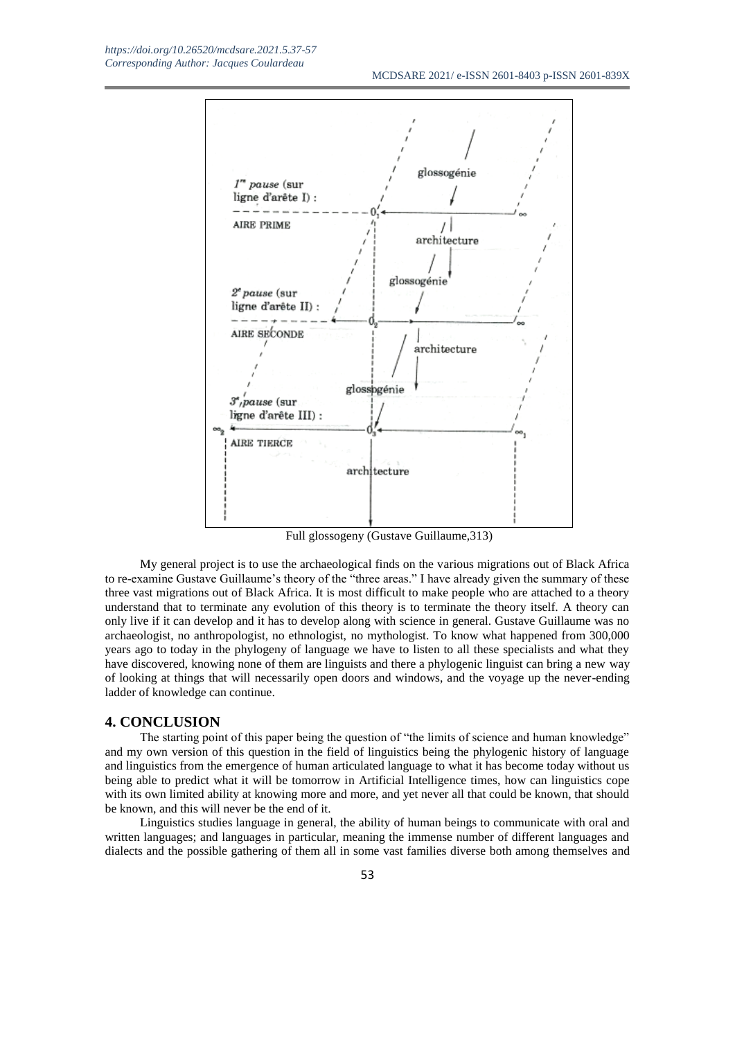

Full glossogeny (Gustave Guillaume,313)

My general project is to use the archaeological finds on the various migrations out of Black Africa to re-examine Gustave Guillaume's theory of the "three areas." I have already given the summary of these three vast migrations out of Black Africa. It is most difficult to make people who are attached to a theory understand that to terminate any evolution of this theory is to terminate the theory itself. A theory can only live if it can develop and it has to develop along with science in general. Gustave Guillaume was no archaeologist, no anthropologist, no ethnologist, no mythologist. To know what happened from 300,000 years ago to today in the phylogeny of language we have to listen to all these specialists and what they have discovered, knowing none of them are linguists and there a phylogenic linguist can bring a new way of looking at things that will necessarily open doors and windows, and the voyage up the never-ending ladder of knowledge can continue.

#### **4. CONCLUSION**

The starting point of this paper being the question of "the limits of science and human knowledge" and my own version of this question in the field of linguistics being the phylogenic history of language and linguistics from the emergence of human articulated language to what it has become today without us being able to predict what it will be tomorrow in Artificial Intelligence times, how can linguistics cope with its own limited ability at knowing more and more, and yet never all that could be known, that should be known, and this will never be the end of it.

Linguistics studies language in general, the ability of human beings to communicate with oral and written languages; and languages in particular, meaning the immense number of different languages and dialects and the possible gathering of them all in some vast families diverse both among themselves and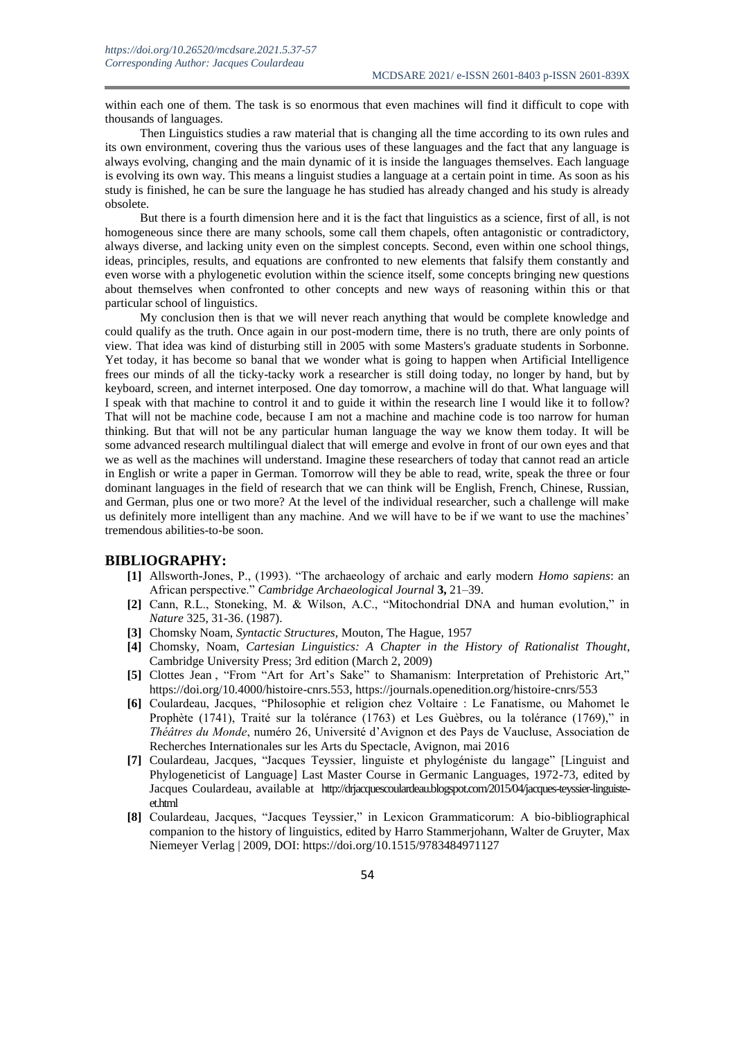within each one of them. The task is so enormous that even machines will find it difficult to cope with thousands of languages.

Then Linguistics studies a raw material that is changing all the time according to its own rules and its own environment, covering thus the various uses of these languages and the fact that any language is always evolving, changing and the main dynamic of it is inside the languages themselves. Each language is evolving its own way. This means a linguist studies a language at a certain point in time. As soon as his study is finished, he can be sure the language he has studied has already changed and his study is already obsolete.

But there is a fourth dimension here and it is the fact that linguistics as a science, first of all, is not homogeneous since there are many schools, some call them chapels, often antagonistic or contradictory, always diverse, and lacking unity even on the simplest concepts. Second, even within one school things, ideas, principles, results, and equations are confronted to new elements that falsify them constantly and even worse with a phylogenetic evolution within the science itself, some concepts bringing new questions about themselves when confronted to other concepts and new ways of reasoning within this or that particular school of linguistics.

My conclusion then is that we will never reach anything that would be complete knowledge and could qualify as the truth. Once again in our post-modern time, there is no truth, there are only points of view. That idea was kind of disturbing still in 2005 with some Masters's graduate students in Sorbonne. Yet today, it has become so banal that we wonder what is going to happen when Artificial Intelligence frees our minds of all the ticky-tacky work a researcher is still doing today, no longer by hand, but by keyboard, screen, and internet interposed. One day tomorrow, a machine will do that. What language will I speak with that machine to control it and to guide it within the research line I would like it to follow? That will not be machine code, because I am not a machine and machine code is too narrow for human thinking. But that will not be any particular human language the way we know them today. It will be some advanced research multilingual dialect that will emerge and evolve in front of our own eyes and that we as well as the machines will understand. Imagine these researchers of today that cannot read an article in English or write a paper in German. Tomorrow will they be able to read, write, speak the three or four dominant languages in the field of research that we can think will be English, French, Chinese, Russian, and German, plus one or two more? At the level of the individual researcher, such a challenge will make us definitely more intelligent than any machine. And we will have to be if we want to use the machines' tremendous abilities-to-be soon.

### **BIBLIOGRAPHY:**

- **[1]** Allsworth-Jones, P., (1993). "The archaeology of archaic and early modern *Homo sapiens*: an African perspective." *Cambridge Archaeological Journal* **3,** 21–39.
- **[2]** Cann, R.L., Stoneking, M. & Wilson, A.C., "Mitochondrial DNA and human evolution," in *Nature* 325, 31-36. (1987).
- **[3]** Chomsky Noam, *Syntactic Structures*, Mouton, The Hague, 1957
- **[4]** Chomsky, Noam, *Cartesian Linguistics: A Chapter in the History of Rationalist Thought*, Cambridge University Press; 3rd edition (March 2, 2009)
- **[5]** Clottes Jean , "From "Art for Art's Sake" to Shamanism: Interpretation of Prehistoric Art," [https://doi.org/10.4000/histoire-cnrs.553,](https://doi.org/10.4000/histoire-cnrs.553)<https://journals.openedition.org/histoire-cnrs/553>
- **[6]** Coulardeau, Jacques, "Philosophie et religion chez Voltaire : Le Fanatisme, ou Mahomet le Prophète (1741), Traité sur la tolérance (1763) et Les Guèbres, ou la tolérance (1769)," in *Théâtres du Monde*, numéro 26, Université d'Avignon et des Pays de Vaucluse, Association de Recherches Internationales sur les Arts du Spectacle, Avignon, mai 2016
- **[7]** Coulardeau, Jacques, "Jacques Teyssier, linguiste et phylogéniste du langage" [Linguist and Phylogeneticist of Language] Last Master Course in Germanic Languages, 1972-73, edited by Jacques Coulardeau, available at [http://drjacquescoulardeau.blogspot.com/2015/04/jacques-teyssier-linguiste](http://drjacquescoulardeau.blogspot.com/2015/04/jacques-teyssier-linguiste-et.html)[et.html](http://drjacquescoulardeau.blogspot.com/2015/04/jacques-teyssier-linguiste-et.html)
- **[8]** Coulardeau, Jacques, "Jacques Teyssier," in Lexicon Grammaticorum: A bio-bibliographical companion to the history of linguistics, edited by Harro Stammerjohann, Walter de Gruyter, Max Niemeyer Verlag | 2009, DOI: <https://doi.org/10.1515/9783484971127>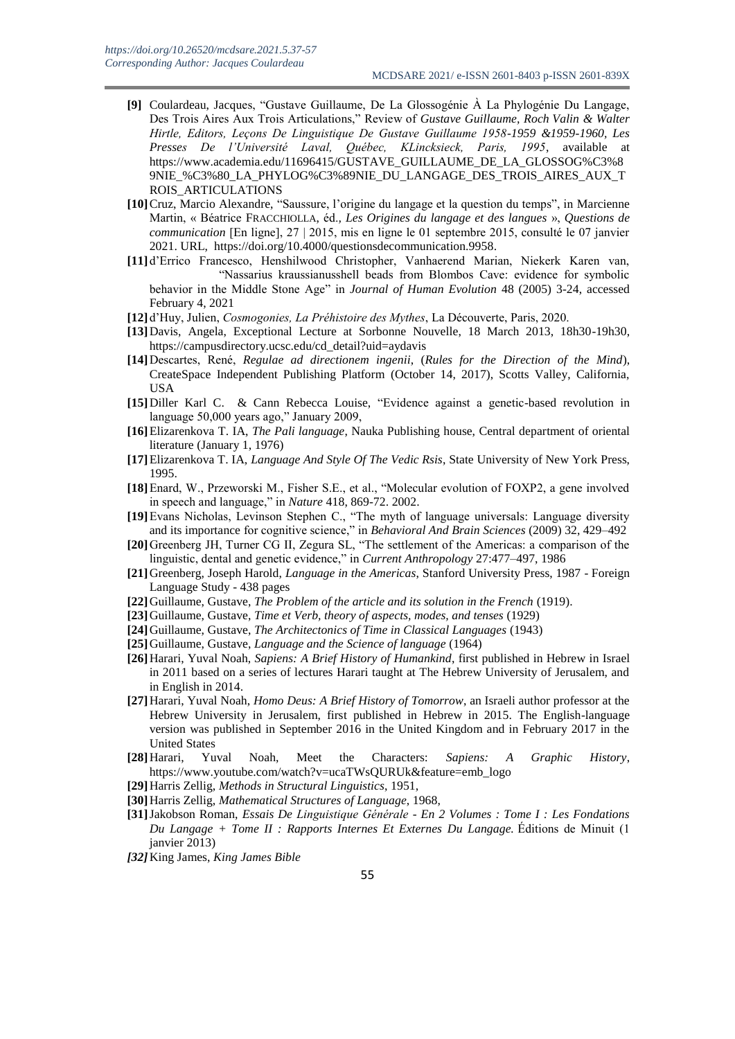- **[9]** Coulardeau, Jacques, "Gustave Guillaume, De La Glossogénie À La Phylogénie Du Langage, Des Trois Aires Aux Trois Articulations," Review of *Gustave Guillaume, Roch Valin & Walter Hirtle, Editors, Leçons De Linguistique De Gustave Guillaume 1958-1959 &1959-1960, Les Presses De l'Université Laval, Québec, KLincksieck, Paris, 1995*, available at [https://www.academia.edu/11696415/GUSTAVE\\_GUILLAUME\\_DE\\_LA\\_GLOSSOG%C3%8](https://www.academia.edu/11696415/GUSTAVE_GUILLAUME_DE_LA_GLOSSOG%C3%89NIE_%C3%80_LA_PHYLOG%C3%89NIE_DU_LANGAGE_DES_TROIS_AIRES_AUX_TROIS_ARTICULATIONS) [9NIE\\_%C3%80\\_LA\\_PHYLOG%C3%89NIE\\_DU\\_LANGAGE\\_DES\\_TROIS\\_AIRES\\_AUX\\_T](https://www.academia.edu/11696415/GUSTAVE_GUILLAUME_DE_LA_GLOSSOG%C3%89NIE_%C3%80_LA_PHYLOG%C3%89NIE_DU_LANGAGE_DES_TROIS_AIRES_AUX_TROIS_ARTICULATIONS) [ROIS\\_ARTICULATIONS](https://www.academia.edu/11696415/GUSTAVE_GUILLAUME_DE_LA_GLOSSOG%C3%89NIE_%C3%80_LA_PHYLOG%C3%89NIE_DU_LANGAGE_DES_TROIS_AIRES_AUX_TROIS_ARTICULATIONS)
- **[10]**Cruz, Marcio Alexandre, "Saussure, l'origine du langage et la question du temps", in Marcienne Martin, « Béatrice FRACCHIOLLA, éd.*, Les Origines du langage et des langues* », *Questions de communication* [En ligne], 27 | 2015, mis en ligne le 01 septembre 2015, consulté le 07 janvier 2021. URL, [https://doi.org/10.4000/questionsdecommunication.9958.](https://doi.org/10.4000/questionsdecommunication.9958)
- **[11]** d'Errico Francesco, Henshilwood Christopher, Vanhaerend Marian, Niekerk Karen van, "Nassarius kraussianusshell beads from Blombos Cave: evidence for symbolic behavior in the Middle Stone Age" in *Journal of Human Evolution* 48 (2005) 3-24, accessed February 4, 2021
- **[12]** d'Huy, Julien, *Cosmogonies, La Préhistoire des Mythes*, La Découverte, Paris, 2020.
- **[13]**Davis, Angela, Exceptional Lecture at Sorbonne Nouvelle, 18 March 2013, 18h30-19h30, [https://campusdirectory.ucsc.edu/cd\\_detail?uid=aydavis](https://campusdirectory.ucsc.edu/cd_detail?uid=aydavis)
- **[14]**Descartes, René, *Regulae ad directionem ingenii*, (*Rules for the Direction of the Mind*), CreateSpace Independent Publishing Platform (October 14, 2017), Scotts Valley, California, **USA**
- **[15]**Diller Karl C. & Cann Rebecca Louise, "Evidence against a genetic-based revolution in language 50,000 years ago," January 2009,
- **[16]**Elizarenkova T. IA, *The Pali language*, Nauka Publishing house, Central department of oriental literature (January 1, 1976)
- **[17]**Elizarenkova T. IA, *Language And Style Of The Vedic Rsis*, State University of New York Press, 1995.
- **[18]**Enard, W., Przeworski M., Fisher S.E., et al., "Molecular evolution of FOXP2, a gene involved in speech and language," in *Nature* 418, 869-72. 2002.
- **[19]**Evans Nicholas, Levinson Stephen C., "The myth of language universals: Language diversity and its importance for cognitive science," in *Behavioral And Brain Sciences* (2009) 32, 429–492
- **[20]**Greenberg JH, Turner CG II, Zegura SL, "The settlement of the Americas: a comparison of the linguistic, dental and genetic evidence," in *Current Anthropology* 27:477–497, 1986
- **[21]**Greenberg, Joseph Harold, *Language in the Americas*, Stanford University Press, 1987 Foreign Language Study - 438 pages
- **[22]**Guillaume, Gustave, *The Problem of the article and its solution in the French* (1919).
- **[23]**Guillaume, Gustave, *Time et Verb, theory of aspects, modes, and tenses* (1929)
- **[24]**Guillaume, Gustave, *The Architectonics of Time in Classical Languages* (1943)
- **[25]**Guillaume, Gustave, *Language and the Science of language* (1964)
- **[26]**Harari, Yuval Noah, *Sapiens: A Brief History of Humankind*, first published in Hebrew in Israel in 2011 based on a series of lectures Harari taught at The Hebrew University of Jerusalem, and in English in 2014.
- **[27]**Harari, Yuval Noah, *Homo Deus: A Brief History of Tomorrow*, an Israeli author professor at the Hebrew University in Jerusalem, first published in Hebrew in 2015. The English-language version was published in September 2016 in the United Kingdom and in February 2017 in the United States
- **[28]**Harari, Yuval Noah, Meet the Characters: *Sapiens: A Graphic History*, [https://www.youtube.com/watch?v=ucaTWsQURUk&feature=emb\\_logo](https://www.youtube.com/watch?v=ucaTWsQURUk&feature=emb_logo)
- **[29]**Harris Zellig, *Methods in Structural Linguistics*, 1951,
- **[30]**Harris Zellig, *Mathematical Structures of Language*, 1968,
- **[31]**Jakobson Roman, *Essais De Linguistique Générale - En 2 Volumes : Tome I : Les Fondations Du Langage + Tome II : Rapports Internes Et Externes Du Langage.* Éditions de Minuit (1 janvier 2013)
- *[32]*King James, *King James Bible*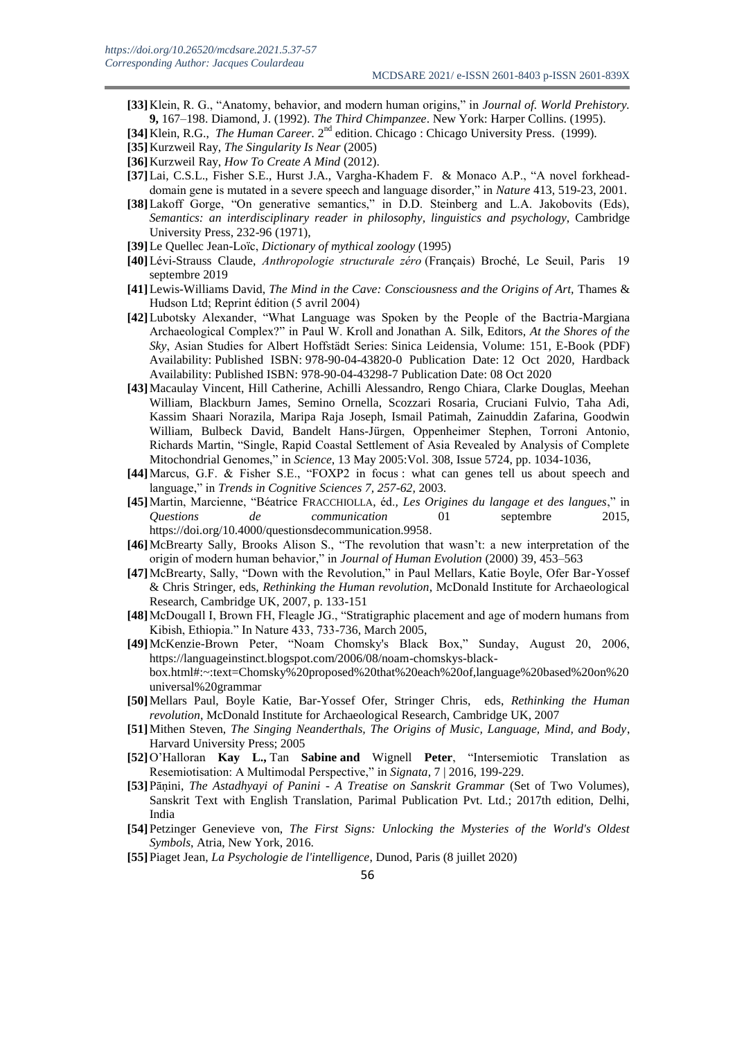- **[33]**Klein, R. G., "Anatomy, behavior, and modern human origins," in *Journal of. World Prehistory.*  **9,** 167–198. Diamond, J. (1992). *The Third Chimpanzee*. New York: Harper Collins. (1995).
- [34] Klein, R.G., *The Human Career*. 2<sup>nd</sup> edition. Chicago : Chicago University Press. (1999).
- **[35]**Kurzweil Ray, *The Singularity Is Near* (2005)
- **[36]**Kurzweil Ray, *How To Create A Mind* (2012).
- **[37]**Lai, C.S.L., Fisher S.E., Hurst J.A., Vargha-Khadem F. & Monaco A.P., "A novel forkheaddomain gene is mutated in a severe speech and language disorder," in *Nature* 413, 519-23, 2001.
- **[38]**Lakoff Gorge, "On generative semantics," in D.D. Steinberg and L.A. Jakobovits (Eds), *Semantics: an interdisciplinary reader in philosophy, linguistics and psychology*, Cambridge University Press, 232-96 (1971),
- **[39]**Le Quellec Jean-Loïc, *Dictionary of mythical zoology* (1995)
- **[40]**Lévi-Strauss Claude, *Anthropologie structurale zéro* (Français) Broché, Le Seuil, Paris 19 septembre 2019
- **[41]**Lewis-Williams David, *The Mind in the Cave: Consciousness and the Origins of Art,* Thames & Hudson Ltd; Reprint édition (5 avril 2004)
- **[42]**Lubotsky Alexander, "What Language was Spoken by the People of the Bactria-Margiana Archaeological Complex?" in Paul W. Kroll and Jonathan A. Silk, Editors, *At the Shores of the Sky*, Asian Studies for Albert Hoffstädt Series: Sinica Leidensia, Volume: 151, E-Book (PDF) Availability: Published ISBN: 978-90-04-43820-0 Publication Date: 12 Oct 2020, Hardback Availability: Published ISBN: 978-90-04-43298-7 Publication Date: 08 Oct 2020
- **[43]**Macaulay Vincent, Hill Catherine, Achilli Alessandro, Rengo Chiara, Clarke Douglas, Meehan William, Blackburn James, Semino Ornella, Scozzari Rosaria, Cruciani Fulvio, Taha Adi, Kassim Shaari Norazila, Maripa Raja Joseph, Ismail Patimah, Zainuddin Zafarina, Goodwin William, Bulbeck David, Bandelt Hans-Jürgen, Oppenheimer Stephen, Torroni Antonio, Richards Martin, "Single, Rapid Coastal Settlement of Asia Revealed by Analysis of Complete Mitochondrial Genomes," in *Science*, 13 May 2005:Vol. 308, Issue 5724, pp. 1034-1036,
- **[44]**Marcus, G.F. & Fisher S.E., "FOXP2 in focus : what can genes tell us about speech and language," in *Trends in Cognitive Sciences 7, 257-62,* 2003.
- **[45]**Martin, Marcienne, "Béatrice FRACCHIOLLA, éd.*, Les Origines du langage et des langues*," in *Questions de communication* 01 septembre 2015, [https://doi.org/10.4000/questionsdecommunication.9958.](https://doi.org/10.4000/questionsdecommunication.9958)
- **[46]**McBrearty Sally, Brooks Alison S., "The revolution that wasn't: a new interpretation of the origin of modern human behavior," in *Journal of Human Evolution* (2000) 39, 453–563
- **[47]**McBrearty, Sally, "Down with the Revolution," in Paul Mellars, Katie Boyle, Ofer Bar-Yossef & Chris Stringer, eds, *Rethinking the Human revolution*, McDonald Institute for Archaeological Research, Cambridge UK, 2007, p. 133-151
- **[48]**McDougall I, Brown FH, Fleagle JG., "Stratigraphic placement and age of modern humans from Kibish, Ethiopia." In Nature 433, 733-736, March 2005,
- **[49]**McKenzie-Brown Peter, "Noam Chomsky's Black Box," Sunday, August 20, 2006, [https://languageinstinct.blogspot.com/2006/08/noam-chomskys-black](https://languageinstinct.blogspot.com/2006/08/noam-chomskys-black-box.html#:~:text=Chomsky%20proposed%20that%20each%20of,language%20based%20on%20universal%20grammar)[box.html#:~:text=Chomsky%20proposed%20that%20each%20of,language%20based%20on%20](https://languageinstinct.blogspot.com/2006/08/noam-chomskys-black-box.html#:~:text=Chomsky%20proposed%20that%20each%20of,language%20based%20on%20universal%20grammar) [universal%20grammar](https://languageinstinct.blogspot.com/2006/08/noam-chomskys-black-box.html#:~:text=Chomsky%20proposed%20that%20each%20of,language%20based%20on%20universal%20grammar)
- **[50]**Mellars Paul, Boyle Katie, Bar-Yossef Ofer, Stringer Chris, eds, *Rethinking the Human revolution*, McDonald Institute for Archaeological Research, Cambridge UK, 2007
- **[51]**Mithen Steven, *The Singing Neanderthals, The Origins of Music, Language, Mind, and Body*, Harvard University Press; 2005
- **[52]**O'Halloran **Kay L.,** Tan **Sabine and** Wignell **Peter**, "Intersemiotic Translation as Resemiotisation: A Multimodal Perspective," in *Signata*, 7 | 2016, 199-229.
- **[53]**Pāṇini, *The Astadhyayi of Panini - A Treatise on Sanskrit Grammar* (Set of Two Volumes), Sanskrit Text with English Translation, Parimal Publication Pvt. Ltd.; 2017th edition, Delhi, India
- **[54]**Petzinger Genevieve von, *The First Signs: Unlocking the Mysteries of the World's Oldest Symbols*, Atria, New York, 2016.
- **[55]**Piaget Jean, *La Psychologie de l'intelligence*, Dunod, Paris (8 juillet 2020)